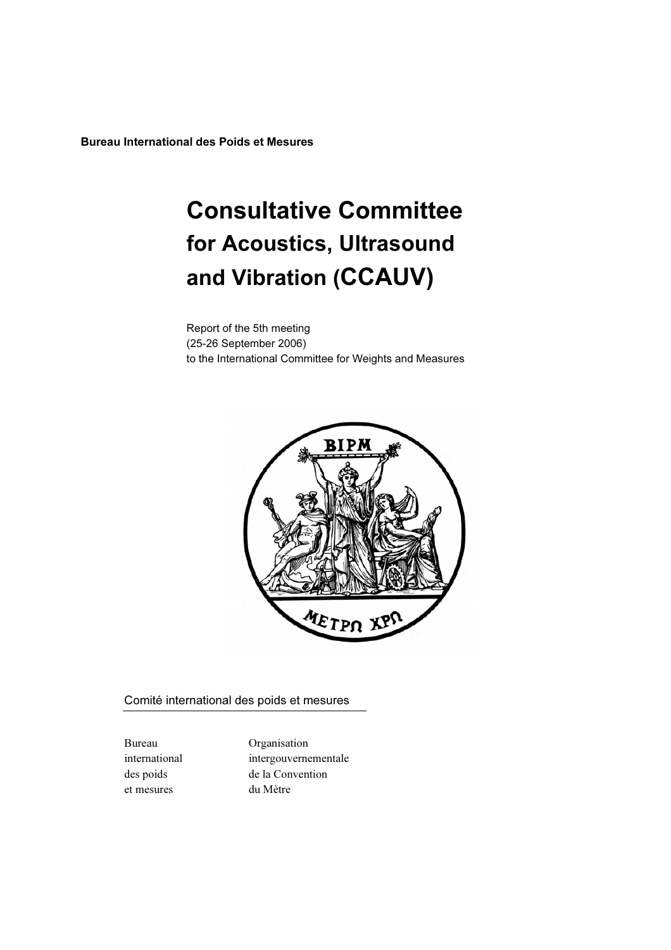Bureau International des Poids et Mesures

# Consultative Committee for Acoustics, Ultrasound and Vibration (CCAUV)

Report of the 5th meeting (25-26 September 2006) to the International Committee for Weights and Measures



Comité international des poids et mesures

et mesures du Mètre

Bureau Organisation international intergouvernementale des poids de la Convention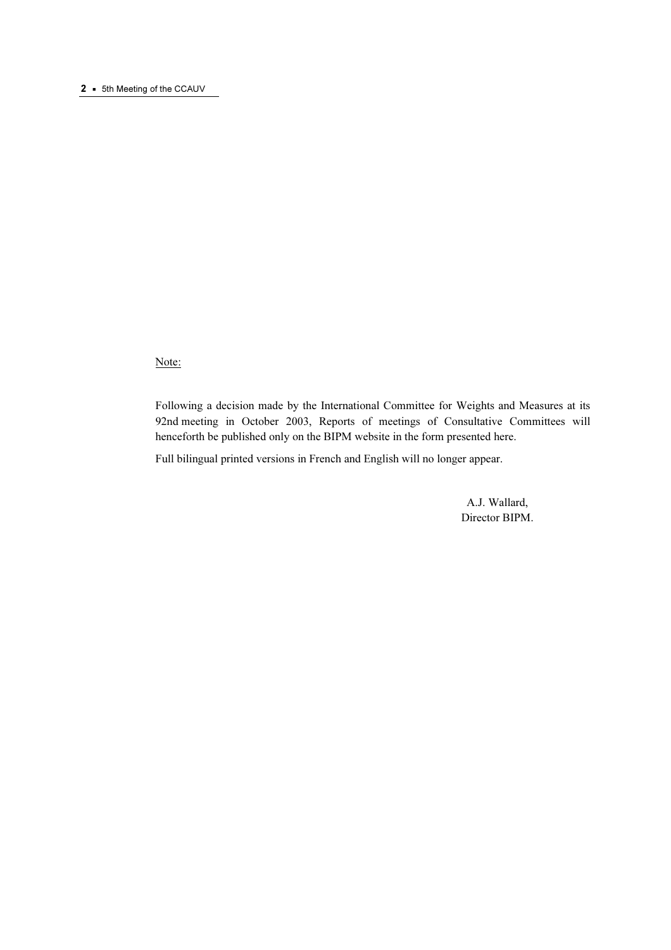# 2 • 5th Meeting of the CCAUV

Note:

Following a decision made by the International Committee for Weights and Measures at its 92nd meeting in October 2003, Reports of meetings of Consultative Committees will henceforth be published only on the BIPM website in the form presented here.

Full bilingual printed versions in French and English will no longer appear.

 A.J. Wallard, Director BIPM.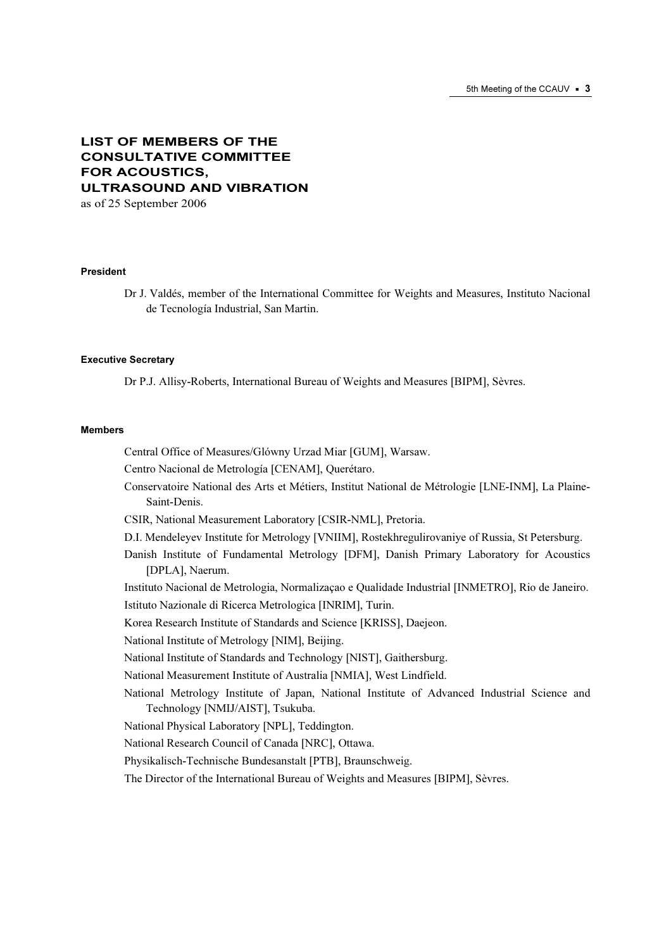# LIST OF MEMBERS OF THE CONSULTATIVE COMMITTEE FOR ACOUSTICS, ULTRASOUND AND VIBRATION

as of 25 September 2006

#### President

Dr J. Valdés, member of the International Committee for Weights and Measures, Instituto Nacional de Tecnología Industrial, San Martin.

#### Executive Secretary

Dr P.J. Allisy-Roberts, International Bureau of Weights and Measures [BIPM], Sèvres.

#### **Mombore**

Central Office of Measures/Glówny Urzad Miar [GUM], Warsaw. Centro Nacional de Metrología [CENAM], Querétaro. Conservatoire National des Arts et Métiers, Institut National de Métrologie [LNE-INM], La Plaine-Saint-Denis. CSIR, National Measurement Laboratory [CSIR-NML], Pretoria. D.I. Mendeleyev Institute for Metrology [VNIIM], Rostekhregulirovaniye of Russia, St Petersburg. Danish Institute of Fundamental Metrology [DFM], Danish Primary Laboratory for Acoustics [DPLA], Naerum. Instituto Nacional de Metrologia, Normalizaçao e Qualidade Industrial [INMETRO], Rio de Janeiro. Istituto Nazionale di Ricerca Metrologica [INRIM], Turin. Korea Research Institute of Standards and Science [KRISS], Daejeon. National Institute of Metrology [NIM], Beijing. National Institute of Standards and Technology [NIST], Gaithersburg. National Measurement Institute of Australia [NMIA], West Lindfield. National Metrology Institute of Japan, National Institute of Advanced Industrial Science and Technology [NMIJ/AIST], Tsukuba. National Physical Laboratory [NPL], Teddington. National Research Council of Canada [NRC], Ottawa. Physikalisch-Technische Bundesanstalt [PTB], Braunschweig. The Director of the International Bureau of Weights and Measures [BIPM], Sèvres.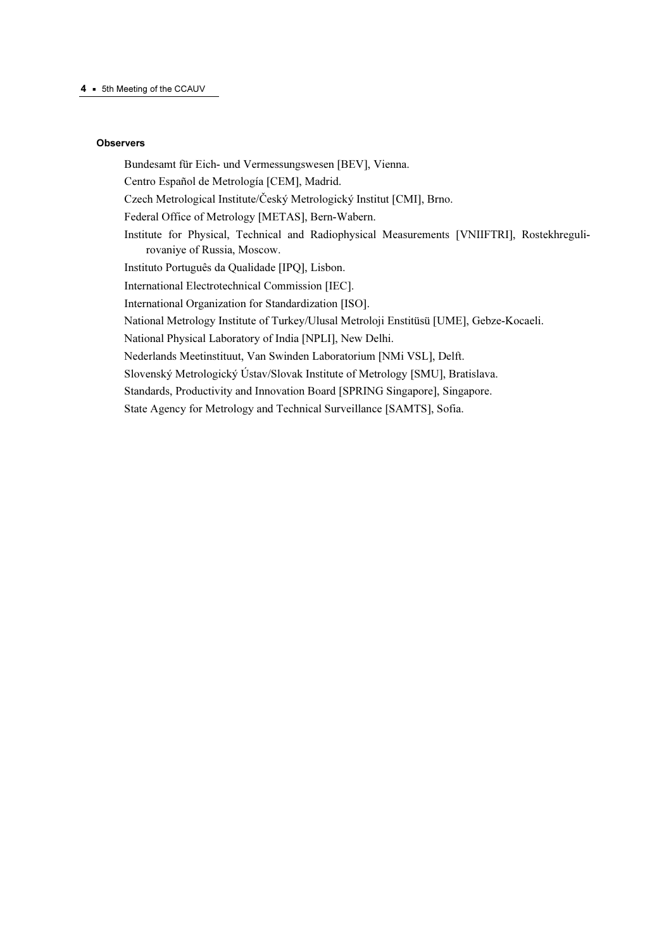# **Observers**

Bundesamt für Eich- und Vermessungswesen [BEV], Vienna.

Centro Español de Metrología [CEM], Madrid.

Czech Metrological Institute/Český Metrologický Institut [CMI], Brno.

Federal Office of Metrology [METAS], Bern-Wabern.

Institute for Physical, Technical and Radiophysical Measurements [VNIIFTRI], Rostekhregulirovaniye of Russia, Moscow.

Instituto Português da Qualidade [IPQ], Lisbon.

International Electrotechnical Commission [IEC].

International Organization for Standardization [ISO].

National Metrology Institute of Turkey/Ulusal Metroloji Enstitüsü [UME], Gebze-Kocaeli.

National Physical Laboratory of India [NPLI], New Delhi.

Nederlands Meetinstituut, Van Swinden Laboratorium [NMi VSL], Delft.

Slovenský Metrologický Ústav/Slovak Institute of Metrology [SMU], Bratislava.

Standards, Productivity and Innovation Board [SPRING Singapore], Singapore.

State Agency for Metrology and Technical Surveillance [SAMTS], Sofia.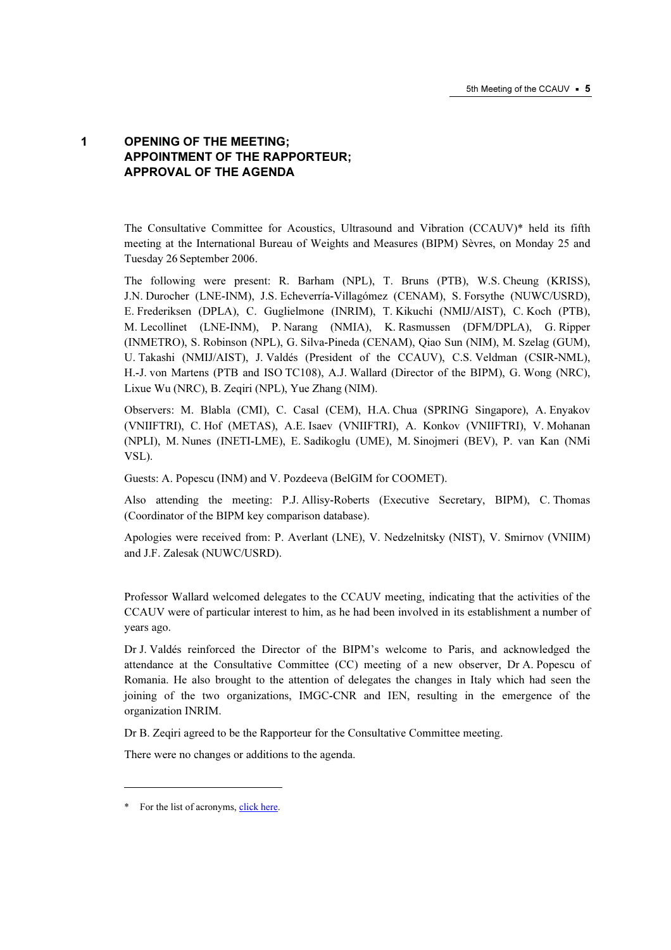# 1 OPENING OF THE MEETING; APPOINTMENT OF THE RAPPORTEUR; APPROVAL OF THE AGENDA

The Consultative Committee for Acoustics, Ultrasound and Vibration (CCAUV)\* held its fifth meeting at the International Bureau of Weights and Measures (BIPM) Sèvres, on Monday 25 and Tuesday 26 September 2006.

The following were present: R. Barham (NPL), T. Bruns (PTB), W.S. Cheung (KRISS), J.N. Durocher (LNE-INM), J.S. Echeverría-Villagómez (CENAM), S. Forsythe (NUWC/USRD), E. Frederiksen (DPLA), C. Guglielmone (INRIM), T. Kikuchi (NMIJ/AIST), C. Koch (PTB), M. Lecollinet (LNE-INM), P. Narang (NMIA), K. Rasmussen (DFM/DPLA), G. Ripper (INMETRO), S. Robinson (NPL), G. Silva-Pineda (CENAM), Qiao Sun (NIM), M. Szelag (GUM), U. Takashi (NMIJ/AIST), J. Valdés (President of the CCAUV), C.S. Veldman (CSIR-NML), H.-J. von Martens (PTB and ISO TC108), A.J. Wallard (Director of the BIPM), G. Wong (NRC), Lixue Wu (NRC), B. Zeqiri (NPL), Yue Zhang (NIM).

Observers: M. Blabla (CMI), C. Casal (CEM), H.A. Chua (SPRING Singapore), A. Enyakov (VNIIFTRI), C. Hof (METAS), A.E. Isaev (VNIIFTRI), A. Konkov (VNIIFTRI), V. Mohanan (NPLI), M. Nunes (INETI-LME), E. Sadikoglu (UME), M. Sinojmeri (BEV), P. van Kan (NMi VSL).

Guests: A. Popescu (INM) and V. Pozdeeva (BelGIM for COOMET).

Also attending the meeting: P.J. Allisy-Roberts (Executive Secretary, BIPM), C. Thomas (Coordinator of the BIPM key comparison database).

Apologies were received from: P. Averlant (LNE), V. Nedzelnitsky (NIST), V. Smirnov (VNIIM) and J.F. Zalesak (NUWC/USRD).

Professor Wallard welcomed delegates to the CCAUV meeting, indicating that the activities of the CCAUV were of particular interest to him, as he had been involved in its establishment a number of years ago.

Dr J. Valdés reinforced the Director of the BIPM's welcome to Paris, and acknowledged the attendance at the Consultative Committee (CC) meeting of a new observer, Dr A. Popescu of Romania. He also brought to the attention of delegates the changes in Italy which had seen the joining of the two organizations, IMGC-CNR and IEN, resulting in the emergence of the organization INRIM.

Dr B. Zeqiri agreed to be the Rapporteur for the Consultative Committee meeting.

There were no changes or additions to the agenda.

-

<sup>\*</sup> For the list of acr[onyms, click here.](https://www.bipm.org/en/practical_info/acronyms.html)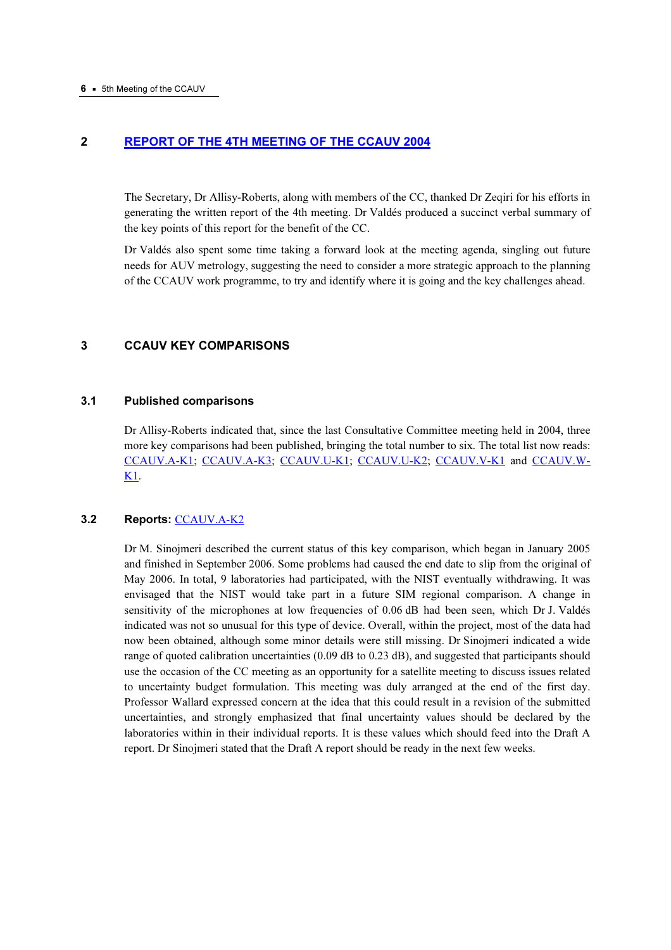# 2 [REPORT OF THE 4TH MEETING OF THE CCAUV 2004](https://www.bipm.org/utils/common/pdf/CCAUV4.pdf)

The Secretary, Dr Allisy-Roberts, along with members of the CC, thanked Dr Zeqiri for his efforts in generating the written report of the 4th meeting. Dr Valdés produced a succinct verbal summary of the key points of this report for the benefit of the CC.

Dr Valdés also spent some time taking a forward look at the meeting agenda, singling out future needs for AUV metrology, suggesting the need to consider a more strategic approach to the planning of the CCAUV work programme, to try and identify where it is going and the key challenges ahead.

# 3 CCAUV KEY COMPARISONS

# 3.1 Published comparisons

Dr Allisy-Roberts indicated that, since the last Consultative Committee meeting held in 2004, three more key comparisons had been published, bringing the total number to six. The total list now reads: [CCAUV.A-K1;](http://kcdb.bipm.org/appendixB/KCDB_ApB_info.asp?cmp_idy=420&cmp_cod=CCAUV.A-K1&prov=exalead) [CCAUV.A-K3;](http://kcdb.bipm.org/appendixB/KCDB_ApB_info.asp?cmp_idy=424&cmp_cod=CCAUV.A-K3&prov=exalead) [CCAUV.U-K1;](http://kcdb.bipm.org/appendixB/KCDB_ApB_info.asp?cmp_idy=196&cmp_cod=CCAUV.U-K1&prov=exalead) [CCAUV.U-K2;](http://kcdb.bipm.org/appendixB/KCDB_ApB_info.asp?cmp_idy=427&cmp_cod=CCAUV.U-K2&prov=exalead) [CCAUV.V-K1 a](http://kcdb.bipm.org/appendixB/KCDB_ApB_info.asp?cmp_idy=429&cmp_cod=CCAUV.V-K1&prov=exalead)n[d CCAUV.W-](http://kcdb.bipm.org/appendixB/KCDB_ApB_info.asp?cmp_idy=430&cmp_cod=CCAUV.W-K1&prov=exalead)[K1.](http://kcdb.bipm.org/appendixB/KCDB_ApB_info.asp?cmp_idy=430&cmp_cod=CCAUV.W-K1&prov=exalead) 

# 3.2 Reports: [CCAUV.A-K2](http://kcdb.bipm.org/appendixB/KCDB_ApB_info.asp?cmp_idy=421&cmp_cod=CCAUV.A-K2&prov=exalead)

Dr M. Sinojmeri described the current status of this key comparison, which began in January 2005 and finished in September 2006. Some problems had caused the end date to slip from the original of May 2006. In total, 9 laboratories had participated, with the NIST eventually withdrawing. It was envisaged that the NIST would take part in a future SIM regional comparison. A change in sensitivity of the microphones at low frequencies of 0.06 dB had been seen, which Dr J. Valdés indicated was not so unusual for this type of device. Overall, within the project, most of the data had now been obtained, although some minor details were still missing. Dr Sinojmeri indicated a wide range of quoted calibration uncertainties (0.09 dB to 0.23 dB), and suggested that participants should use the occasion of the CC meeting as an opportunity for a satellite meeting to discuss issues related to uncertainty budget formulation. This meeting was duly arranged at the end of the first day. Professor Wallard expressed concern at the idea that this could result in a revision of the submitted uncertainties, and strongly emphasized that final uncertainty values should be declared by the laboratories within in their individual reports. It is these values which should feed into the Draft A report. Dr Sinojmeri stated that the Draft A report should be ready in the next few weeks.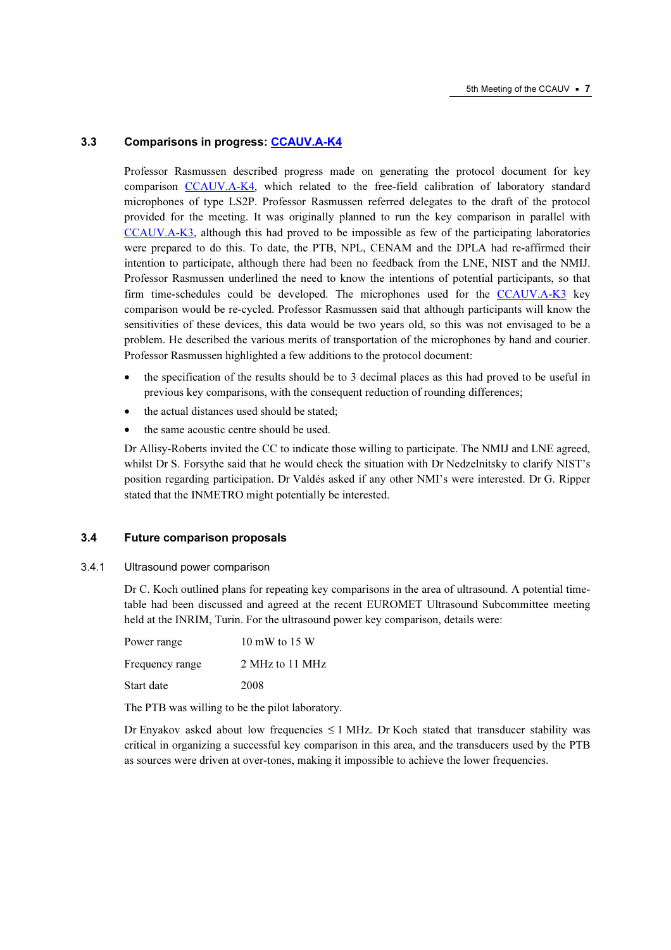# 3.3 Comparisons in progre[ss: CCAUV.A-K4](http://kcdb.bipm.org/appendixB/KCDB_ApB_info.asp?cmp_idy=426&cmp_cod=CCAUV.A-K4&prov=exalead)

Professor Rasmussen described progress made on generating the protocol document for key comp[arison CCAUV.A-K4, which](http://kcdb.bipm.org/appendixB/KCDB_ApB_info.asp?cmp_idy=426&cmp_cod=CCAUV.A-K4&prov=exalead) related to the free-field calibration of laboratory standard microphones of type LS2P. Professor Rasmussen referred delegates to the draft of the protocol provided for the meeting. It was originally planned to run the key comparison in parallel with [CCAUV.A-K3, alt](http://kcdb.bipm.org/appendixB/KCDB_ApB_info.asp?cmp_idy=424&cmp_cod=CCAUV.A-K3&prov=exalead)hough this had proved to be impossible as few of the participating laboratories were prepared to do this. To date, the PTB, NPL, CENAM and the DPLA had re-affirmed their intention to participate, although there had been no feedback from the LNE, NIST and the NMIJ. Professor Rasmussen underlined the need to know the intentions of potential participants, so that firm time-schedules could be developed. The microphones used for the CCAUV.A-K3 key comparison would be re-cycled. Professor Rasmussen said that although p[articipants will know the](http://kcdb.bipm.org/appendixB/KCDB_ApB_info.asp?cmp_idy=424&cmp_cod=CCAUV.A-K3&prov=exalead)  sensitivities of these devices, this data would be two years old, so this was not envisaged to be a problem. He described the various merits of transportation of the microphones by hand and courier. Professor Rasmussen highlighted a few additions to the protocol document:

- the specification of the results should be to 3 decimal places as this had proved to be useful in previous key comparisons, with the consequent reduction of rounding differences;
- the actual distances used should be stated;
- the same acoustic centre should be used.

Dr Allisy-Roberts invited the CC to indicate those willing to participate. The NMIJ and LNE agreed, whilst Dr S. Forsythe said that he would check the situation with Dr Nedzelnitsky to clarify NIST's position regarding participation. Dr Valdés asked if any other NMI's were interested. Dr G. Ripper stated that the INMETRO might potentially be interested.

# 3.4 Future comparison proposals

3.4.1 Ultrasound power comparison

Dr C. Koch outlined plans for repeating key comparisons in the area of ultrasound. A potential timetable had been discussed and agreed at the recent EUROMET Ultrasound Subcommittee meeting held at the INRIM, Turin. For the ultrasound power key comparison, details were:

| Power range     | $10 \text{ mW}$ to $15 \text{ W}$ |
|-----------------|-----------------------------------|
| Frequency range | 2 MHz to 11 MHz                   |
| Start date      | 2008                              |

The PTB was willing to be the pilot laboratory.

Dr Enyakov asked about low frequencies  $\leq 1$  MHz. Dr Koch stated that transducer stability was critical in organizing a successful key comparison in this area, and the transducers used by the PTB as sources were driven at over-tones, making it impossible to achieve the lower frequencies.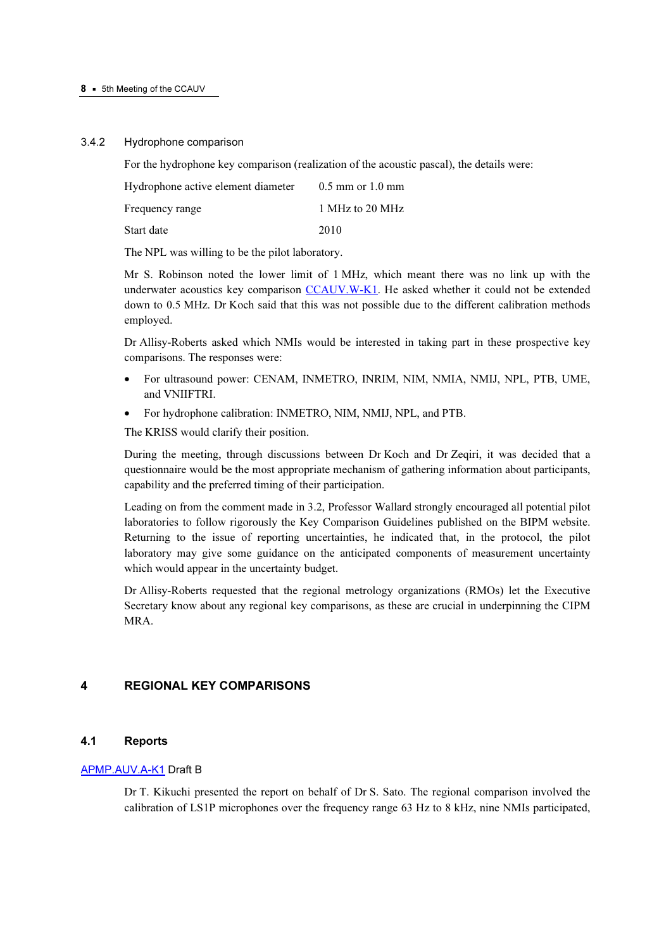#### 3.4.2 Hydrophone comparison

For the hydrophone key comparison (realization of the acoustic pascal), the details were:

| Hydrophone active element diameter | $0.5$ mm or $1.0$ mm |
|------------------------------------|----------------------|
| Frequency range                    | 1 MHz to 20 MHz      |
| Start date                         | 2010                 |

The NPL was willing to be the pilot laboratory.

Mr S. Robinson noted the lower limit of 1 MHz, which meant there was no link up with the underwater acoustics key compa[rison CCAUV.W-K1. He ask](http://kcdb.bipm.org/appendixB/KCDB_ApB_info.asp?cmp_idy=430&cmp_cod=CCAUV.W-K1&prov=exalead)ed whether it could not be extended down to 0.5 MHz. Dr Koch said that this was not possible due to the different calibration methods employed.

Dr Allisy-Roberts asked which NMIs would be interested in taking part in these prospective key comparisons. The responses were:

- For ultrasound power: CENAM, INMETRO, INRIM, NIM, NMIA, NMIJ, NPL, PTB, UME, and VNIIFTRI.
- For hydrophone calibration: INMETRO, NIM, NMIJ, NPL, and PTB.

The KRISS would clarify their position.

During the meeting, through discussions between Dr Koch and Dr Zeqiri, it was decided that a questionnaire would be the most appropriate mechanism of gathering information about participants, capability and the preferred timing of their participation.

Leading on from the comment made in 3.2, Professor Wallard strongly encouraged all potential pilot laboratories to follow rigorously the Key Comparison Guidelines published on the BIPM website. Returning to the issue of reporting uncertainties, he indicated that, in the protocol, the pilot laboratory may give some guidance on the anticipated components of measurement uncertainty which would appear in the uncertainty budget.

Dr Allisy-Roberts requested that the regional metrology organizations (RMOs) let the Executive Secretary know about any regional key comparisons, as these are crucial in underpinning the CIPM MRA.

# 4 REGIONAL KEY COMPARISONS

# 4.1 Reports

# [APMP.AUV.A-K1 Draft](http://kcdb.bipm.org/appendixB/KCDB_ApB_info.asp?cmp_idy=431&cmp_cod=APMP.AUV.A-K1&prov=exalead) B

Dr T. Kikuchi presented the report on behalf of Dr S. Sato. The regional comparison involved the calibration of LS1P microphones over the frequency range 63 Hz to 8 kHz, nine NMIs participated,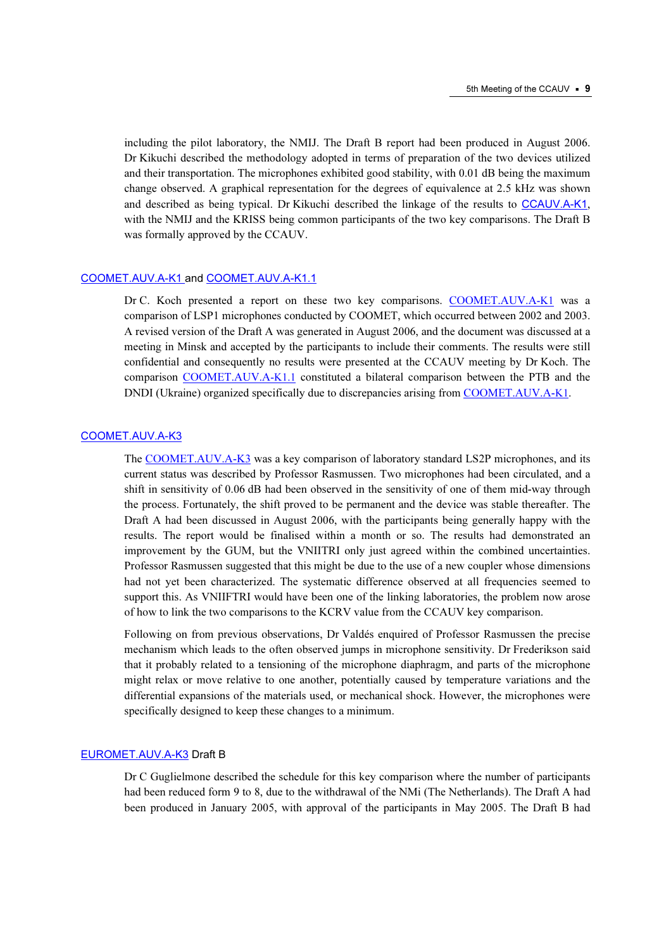including the pilot laboratory, the NMIJ. The Draft B report had been produced in August 2006. Dr Kikuchi described the methodology adopted in terms of preparation of the two devices utilized and their transportation. The microphones exhibited good stability, with 0.01 dB being the maximum change observed. A graphical representation for the degrees of equivalence at 2.5 kHz was shown and described as being typical. Dr Kikuchi described the linkage of the results to [CCAUV.A-K1](http://kcdb.bipm.org/appendixB/KCDB_ApB_info.asp?cmp_idy=420&cmp_cod=CCAUV.A-K1&prov=exalead), with the NMIJ and the KRISS being common participants of the two key comparisons. The Draft B was formally approved by the CCAUV.

# [COOMET.AUV.A-K1 an](http://kcdb.bipm.org/appendixB/KCDB_ApB_info.asp?cmp_idy=434&cmp_cod=COOMET.AUV.A-K1&prov=exalead)d COOMET.AUV.A-K1.1

Dr C. Koch pr[esented a report on these](http://kcdb.bipm.org/appendixB/KCDB_ApB_info.asp?cmp_idy=688&cmp_cod=COOMET.AUV.A-K1.1&prov=exalead) two key comparisons. COOMET.AUV.A-K1 was a comparison of LSP1 microphones conducted by COOMET, whic[h occurred between 2002 and 20](http://kcdb.bipm.org/appendixB/KCDB_ApB_info.asp?cmp_idy=434&cmp_cod=COOMET.AUV.A-K1&prov=exalead)03. A revised version of the Draft A was generated in August 2006, and the document was discussed at a meeting in Minsk and accepted by the participants to include their comments. The results were still confidential and consequently no results were presented at the CCAUV meeting by Dr Koch. The comparison COOMET.AUV.A-K1.1 constituted a bilateral comp[arison between the PTB and the](http://kcdb.bipm.org/appendixB/KCDB_ApB_info.asp?cmp_idy=434&cmp_cod=COOMET.AUV.A-K1&prov=exalead)  DNDI (U[kraine\) organized specifically d](http://kcdb.bipm.org/appendixB/KCDB_ApB_info.asp?cmp_idy=688&cmp_cod=COOMET.AUV.A-K1.1&prov=exalead)ue to discrepancies arising from COOMET.AUV.A-K1.

#### [COOMET.AUV.A-K3](http://kcdb.bipm.org/appendixB/KCDB_ApB_info.asp?cmp_idy=713&cmp_cod=COOMET.AUV.A-K3&prov=exalead)

The [COOMET.AUV.A-K3 was](http://kcdb.bipm.org/appendixB/KCDB_ApB_info.asp?cmp_idy=713&cmp_cod=COOMET.AUV.A-K3&prov=exalead) a key comparison of laboratory standard LS2P microphones, and its current status was described by Professor Rasmussen. Two microphones had been circulated, and a shift in sensitivity of 0.06 dB had been observed in the sensitivity of one of them mid-way through the process. Fortunately, the shift proved to be permanent and the device was stable thereafter. The Draft A had been discussed in August 2006, with the participants being generally happy with the results. The report would be finalised within a month or so. The results had demonstrated an improvement by the GUM, but the VNIITRI only just agreed within the combined uncertainties. Professor Rasmussen suggested that this might be due to the use of a new coupler whose dimensions had not yet been characterized. The systematic difference observed at all frequencies seemed to support this. As VNIIFTRI would have been one of the linking laboratories, the problem now arose of how to link the two comparisons to the KCRV value from the CCAUV key comparison.

Following on from previous observations, Dr Valdés enquired of Professor Rasmussen the precise mechanism which leads to the often observed jumps in microphone sensitivity. Dr Frederikson said that it probably related to a tensioning of the microphone diaphragm, and parts of the microphone might relax or move relative to one another, potentially caused by temperature variations and the differential expansions of the materials used, or mechanical shock. However, the microphones were specifically designed to keep these changes to a minimum.

# [EUROMET.AUV.A-K3 Draft B](http://kcdb.bipm.org/appendixB/KCDB_ApB_info.asp?cmp_idy=442&cmp_cod=EUROMET.AUV.A-K3&prov=exalead)

Dr C Guglielmone described the schedule for this key comparison where the number of participants had been reduced form 9 to 8, due to the withdrawal of the NMi (The Netherlands). The Draft A had been produced in January 2005, with approval of the participants in May 2005. The Draft B had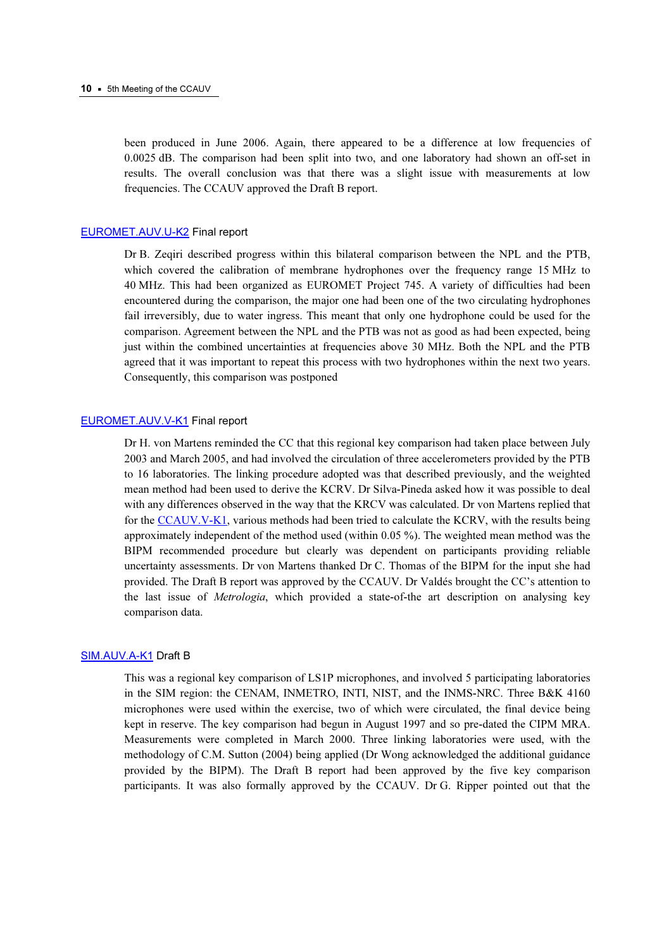been produced in June 2006. Again, there appeared to be a difference at low frequencies of 0.0025 dB. The comparison had been split into two, and one laboratory had shown an off-set in results. The overall conclusion was that there was a slight issue with measurements at low frequencies. The CCAUV approved the Draft B report.

#### [EUROMET.AUV.U-K2 Final re](http://kcdb.bipm.org/appendixB/KCDB_ApB_info.asp?cmp_idy=444&cmp_cod=EUROMET.AUV.U-K2&prov=exalead)port

Dr B. Zeqiri described progress within this bilateral comparison between the NPL and the PTB, which covered the calibration of membrane hydrophones over the frequency range 15 MHz to 40 MHz. This had been organized as EUROMET Project 745. A variety of difficulties had been encountered during the comparison, the major one had been one of the two circulating hydrophones fail irreversibly, due to water ingress. This meant that only one hydrophone could be used for the comparison. Agreement between the NPL and the PTB was not as good as had been expected, being just within the combined uncertainties at frequencies above 30 MHz. Both the NPL and the PTB agreed that it was important to repeat this process with two hydrophones within the next two years. Consequently, this comparison was postponed

#### [EUROMET.AUV.V-K1 Fin](http://kcdb.bipm.org/appendixB/KCDB_ApB_info.asp?cmp_idy=445&cmp_cod=EUROMET.AUV.V-K1&prov=exalead)al report

Dr H. von Martens reminded the CC that this regional key comparison had taken place between July 2003 and March 2005, and had involved the circulation of three accelerometers provided by the PTB to 16 laboratories. The linking procedure adopted was that described previously, and the weighted mean method had been used to derive the KCRV. Dr Silva-Pineda asked how it was possible to deal with any differences observed in the way that the KRCV was calculated. Dr von Martens replied that f[or the CCAUV.V-K1, vario](http://kcdb.bipm.org/appendixB/KCDB_ApB_info.asp?cmp_idy=429&cmp_cod=CCAUV.V-K1&prov=exalead)us methods had been tried to calculate the KCRV, with the results being approximately independent of the method used (within 0.05 %). The weighted mean method was the BIPM recommended procedure but clearly was dependent on participants providing reliable uncertainty assessments. Dr von Martens thanked Dr C. Thomas of the BIPM for the input she had provided. The Draft B report was approved by the CCAUV. Dr Valdés brought the CC's attention to the last issue of Metrologia, which provided a state-of-the art description on analysing key comparison data.

# [SIM.AUV.A-K1 Draft B](http://kcdb.bipm.org/appendixB/KCDB_ApB_info.asp?cmp_idy=449&cmp_cod=SIM.AUV.A-K1&prov=exalead)

This was a regional key comparison of LS1P microphones, and involved 5 participating laboratories in the SIM region: the CENAM, INMETRO, INTI, NIST, and the INMS-NRC. Three B&K 4160 microphones were used within the exercise, two of which were circulated, the final device being kept in reserve. The key comparison had begun in August 1997 and so pre-dated the CIPM MRA. Measurements were completed in March 2000. Three linking laboratories were used, with the methodology of C.M. Sutton (2004) being applied (Dr Wong acknowledged the additional guidance provided by the BIPM). The Draft B report had been approved by the five key comparison participants. It was also formally approved by the CCAUV. Dr G. Ripper pointed out that the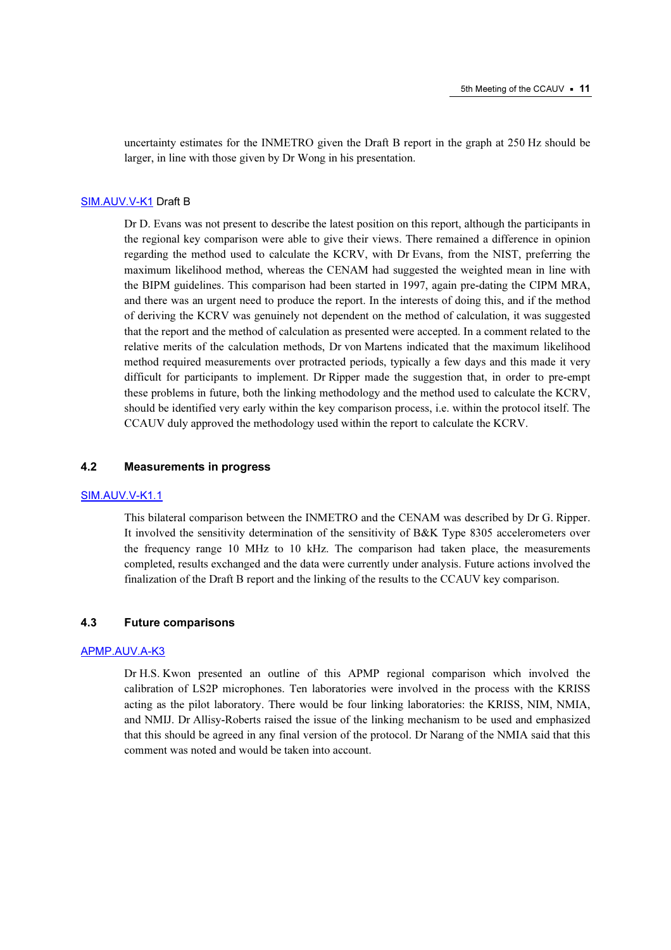uncertainty estimates for the INMETRO given the Draft B report in the graph at 250 Hz should be larger, in line with those given by Dr Wong in his presentation.

#### [SIM.AUV.V-K1 Draft B](http://kcdb.bipm.org/appendixB/KCDB_ApB_info.asp?cmp_idy=452&cmp_cod=SIM.AUV.V-K1&prov=exalead)

Dr D. Evans was not present to describe the latest position on this report, although the participants in the regional key comparison were able to give their views. There remained a difference in opinion regarding the method used to calculate the KCRV, with Dr Evans, from the NIST, preferring the maximum likelihood method, whereas the CENAM had suggested the weighted mean in line with the BIPM guidelines. This comparison had been started in 1997, again pre-dating the CIPM MRA, and there was an urgent need to produce the report. In the interests of doing this, and if the method of deriving the KCRV was genuinely not dependent on the method of calculation, it was suggested that the report and the method of calculation as presented were accepted. In a comment related to the relative merits of the calculation methods, Dr von Martens indicated that the maximum likelihood method required measurements over protracted periods, typically a few days and this made it very difficult for participants to implement. Dr Ripper made the suggestion that, in order to pre-empt these problems in future, both the linking methodology and the method used to calculate the KCRV, should be identified very early within the key comparison process, i.e. within the protocol itself. The CCAUV duly approved the methodology used within the report to calculate the KCRV.

# 4.2 Measurements in progress

#### [SIM.AUV.V-K1.1](http://kcdb.bipm.org/appendixB/KCDB_ApB_info.asp?cmp_idy=743&cmp_cod=SIM.AUV.V-K1.1&prov=exalead)

This bilateral comparison between the INMETRO and the CENAM was described by Dr G. Ripper. It involved the sensitivity determination of the sensitivity of B&K Type 8305 accelerometers over the frequency range 10 MHz to 10 kHz. The comparison had taken place, the measurements completed, results exchanged and the data were currently under analysis. Future actions involved the finalization of the Draft B report and the linking of the results to the CCAUV key comparison.

#### 4.3 Future comparisons

# [APMP.AUV.A-K3](http://kcdb.bipm.org/appendixB/KCDB_ApB_info.asp?cmp_idy=775&cmp_cod=APMP.AUV.A-K3&prov=exalead)

Dr H.S. Kwon presented an outline of this APMP regional comparison which involved the calibration of LS2P microphones. Ten laboratories were involved in the process with the KRISS acting as the pilot laboratory. There would be four linking laboratories: the KRISS, NIM, NMIA, and NMIJ. Dr Allisy-Roberts raised the issue of the linking mechanism to be used and emphasized that this should be agreed in any final version of the protocol. Dr Narang of the NMIA said that this comment was noted and would be taken into account.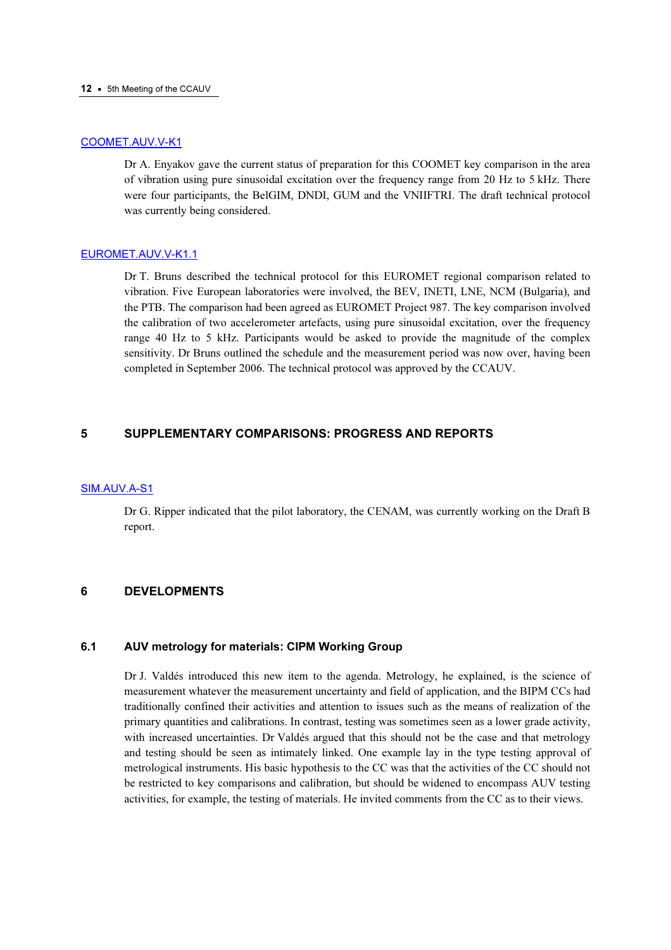#### 12 • 5th Meeting of the CCAUV

# [COOMET.AUV.V-K1](http://kcdb.bipm.org/appendixB/KCDB_ApB_info.asp?cmp_idy=700&cmp_cod=COOMET.AUV.V-K1&prov=exalead)

Dr A. Enyakov gave the current status of preparation for this COOMET key comparison in the area of vibration using pure sinusoidal excitation over the frequency range from 20 Hz to 5 kHz. There were four participants, the BelGIM, DNDI, GUM and the VNIIFTRI. The draft technical protocol was currently being considered.

# [EUROMET.AUV.V-K1.1](http://kcdb.bipm.org/appendixB/KCDB_ApB_info.asp?cmp_idy=779&cmp_cod=EUROMET.AUV.V-K1.1&prov=exalead)

Dr T. Bruns described the technical protocol for this EUROMET regional comparison related to vibration. Five European laboratories were involved, the BEV, INETI, LNE, NCM (Bulgaria), and the PTB. The comparison had been agreed as EUROMET Project 987. The key comparison involved the calibration of two accelerometer artefacts, using pure sinusoidal excitation, over the frequency range 40 Hz to 5 kHz. Participants would be asked to provide the magnitude of the complex sensitivity. Dr Bruns outlined the schedule and the measurement period was now over, having been completed in September 2006. The technical protocol was approved by the CCAUV.

# 5 SUPPLEMENTARY COMPARISONS: PROGRESS AND REPORTS

#### [SIM.AUV.A-S1](http://kcdb.bipm.org/appendixB/KCDB_ApB_info.asp?cmp_idy=451&cmp_cod=SIM.AUV.A-S1&prov=exalead)

Dr G. Ripper indicated that the pilot laboratory, the CENAM, was currently working on the Draft B report.

# 6 DEVELOPMENTS

#### $6.1$ AUV metrology for materials: CIPM Working Group

Dr J. Valdés introduced this new item to the agenda. Metrology, he explained, is the science of measurement whatever the measurement uncertainty and field of application, and the BIPM CCs had traditionally confined their activities and attention to issues such as the means of realization of the primary quantities and calibrations. In contrast, testing was sometimes seen as a lower grade activity, with increased uncertainties. Dr Valdés argued that this should not be the case and that metrology and testing should be seen as intimately linked. One example lay in the type testing approval of metrological instruments. His basic hypothesis to the CC was that the activities of the CC should not be restricted to key comparisons and calibration, but should be widened to encompass AUV testing activities, for example, the testing of materials. He invited comments from the CC as to their views.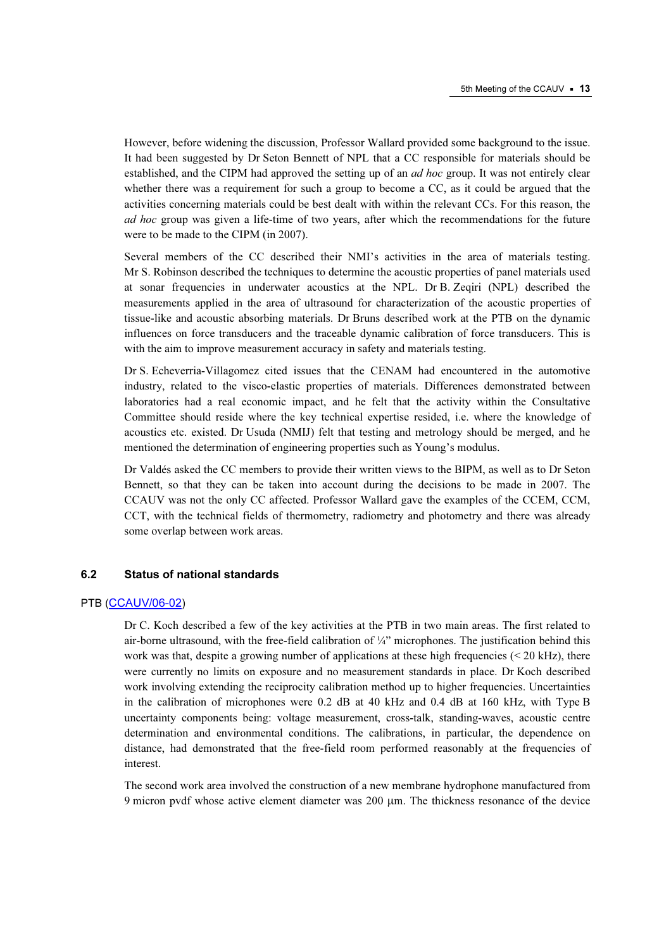However, before widening the discussion, Professor Wallard provided some background to the issue. It had been suggested by Dr Seton Bennett of NPL that a CC responsible for materials should be established, and the CIPM had approved the setting up of an *ad hoc* group. It was not entirely clear whether there was a requirement for such a group to become a CC, as it could be argued that the activities concerning materials could be best dealt with within the relevant CCs. For this reason, the ad hoc group was given a life-time of two years, after which the recommendations for the future were to be made to the CIPM (in 2007).

Several members of the CC described their NMI's activities in the area of materials testing. Mr S. Robinson described the techniques to determine the acoustic properties of panel materials used at sonar frequencies in underwater acoustics at the NPL. Dr B. Zeqiri (NPL) described the measurements applied in the area of ultrasound for characterization of the acoustic properties of tissue-like and acoustic absorbing materials. Dr Bruns described work at the PTB on the dynamic influences on force transducers and the traceable dynamic calibration of force transducers. This is with the aim to improve measurement accuracy in safety and materials testing.

Dr S. Echeverria-Villagomez cited issues that the CENAM had encountered in the automotive industry, related to the visco-elastic properties of materials. Differences demonstrated between laboratories had a real economic impact, and he felt that the activity within the Consultative Committee should reside where the key technical expertise resided, i.e. where the knowledge of acoustics etc. existed. Dr Usuda (NMIJ) felt that testing and metrology should be merged, and he mentioned the determination of engineering properties such as Young's modulus.

Dr Valdés asked the CC members to provide their written views to the BIPM, as well as to Dr Seton Bennett, so that they can be taken into account during the decisions to be made in 2007. The CCAUV was not the only CC affected. Professor Wallard gave the examples of the CCEM, CCM, CCT, with the technical fields of thermometry, radiometry and photometry and there was already some overlap between work areas.

# 6.2 Status of national standards

#### PTB ([CCAUV/06-02](https://www.bipm.org/cc/CCAUV/Allowed/5/CCAUV06-02.pdf))

Dr C. Koch described a few of the key activities at the PTB in two main areas. The first related to air-borne ultrasound, with the free-field calibration of ¼" microphones. The justification behind this work was that, despite a growing number of applications at these high frequencies  $\leq 20$  kHz), there were currently no limits on exposure and no measurement standards in place. Dr Koch described work involving extending the reciprocity calibration method up to higher frequencies. Uncertainties in the calibration of microphones were 0.2 dB at 40 kHz and 0.4 dB at 160 kHz, with Type B uncertainty components being: voltage measurement, cross-talk, standing-waves, acoustic centre determination and environmental conditions. The calibrations, in particular, the dependence on distance, had demonstrated that the free-field room performed reasonably at the frequencies of interest.

The second work area involved the construction of a new membrane hydrophone manufactured from 9 micron pvdf whose active element diameter was 200 µm. The thickness resonance of the device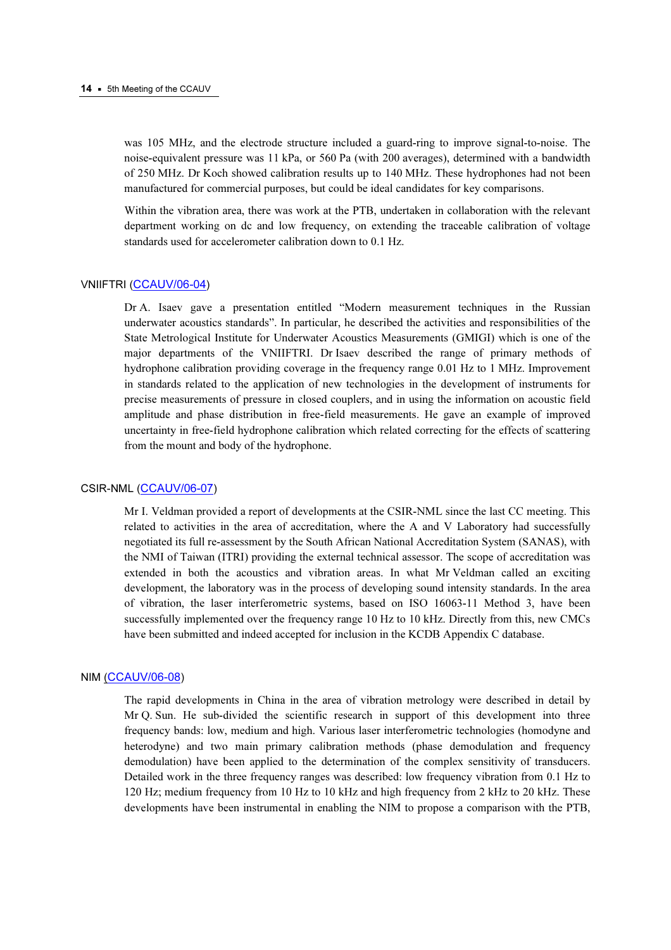was 105 MHz, and the electrode structure included a guard-ring to improve signal-to-noise. The noise-equivalent pressure was 11 kPa, or 560 Pa (with 200 averages), determined with a bandwidth of 250 MHz. Dr Koch showed calibration results up to 140 MHz. These hydrophones had not been manufactured for commercial purposes, but could be ideal candidates for key comparisons.

Within the vibration area, there was work at the PTB, undertaken in collaboration with the relevant department working on dc and low frequency, on extending the traceable calibration of voltage standards used for accelerometer calibration down to 0.1 Hz.

#### VNIIFTRI ([CCAUV/06-04](https://www.bipm.org/cc/CCAUV/Allowed/5/CCAUV06-04.pdf))

Dr A. Isaev gave a presentation entitled "Modern measurement techniques in the Russian underwater acoustics standards". In particular, he described the activities and responsibilities of the State Metrological Institute for Underwater Acoustics Measurements (GMIGI) which is one of the major departments of the VNIIFTRI. Dr Isaev described the range of primary methods of hydrophone calibration providing coverage in the frequency range 0.01 Hz to 1 MHz. Improvement in standards related to the application of new technologies in the development of instruments for precise measurements of pressure in closed couplers, and in using the information on acoustic field amplitude and phase distribution in free-field measurements. He gave an example of improved uncertainty in free-field hydrophone calibration which related correcting for the effects of scattering from the mount and body of the hydrophone.

#### CSIR-NML (CCAUV/06-07)

[Mr I. Veldman provided a repor](https://www.bipm.org/cc/CCAUV/Allowed/5/CCAUV06-07.pdf)t of developments at the CSIR-NML since the last CC meeting. This related to activities in the area of accreditation, where the A and V Laboratory had successfully negotiated its full re-assessment by the South African National Accreditation System (SANAS), with the NMI of Taiwan (ITRI) providing the external technical assessor. The scope of accreditation was extended in both the acoustics and vibration areas. In what Mr Veldman called an exciting development, the laboratory was in the process of developing sound intensity standards. In the area of vibration, the laser interferometric systems, based on ISO 16063-11 Method 3, have been successfully implemented over the frequency range 10 Hz to 10 kHz. Directly from this, new CMCs have been submitted and indeed accepted for inclusion in the KCDB Appendix C database.

#### NIM (CCAUV/06-08)

[The rapid developments](https://www.bipm.org/cc/CCAUV/Allowed/5/CCAUV06-08.pdf) in China in the area of vibration metrology were described in detail by Mr Q. Sun. He sub-divided the scientific research in support of this development into three frequency bands: low, medium and high. Various laser interferometric technologies (homodyne and heterodyne) and two main primary calibration methods (phase demodulation and frequency demodulation) have been applied to the determination of the complex sensitivity of transducers. Detailed work in the three frequency ranges was described: low frequency vibration from 0.1 Hz to 120 Hz; medium frequency from 10 Hz to 10 kHz and high frequency from 2 kHz to 20 kHz. These developments have been instrumental in enabling the NIM to propose a comparison with the PTB,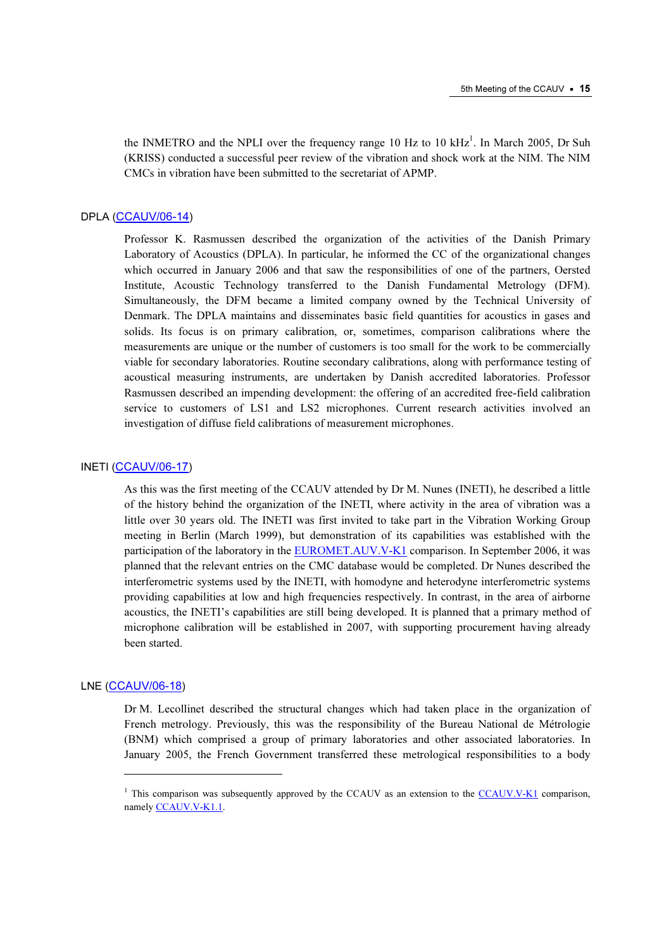the INMETRO and the NPLI over the frequency range 10 Hz to 10  $kHz<sup>1</sup>$ . In March 2005, Dr Suh (KRISS) conducted a successful peer review of the vibration and shock work at the NIM. The NIM CMCs in vibration have been submitted to the secretariat of APMP.

# DPLA (CCAUV/06-14)

[Professor K. Rasmussen](https://www.bipm.org/cc/CCAUV/Allowed/5/CCAUV06-14.pdf) described the organization of the activities of the Danish Primary Laboratory of Acoustics (DPLA). In particular, he informed the CC of the organizational changes which occurred in January 2006 and that saw the responsibilities of one of the partners, Oersted Institute, Acoustic Technology transferred to the Danish Fundamental Metrology (DFM). Simultaneously, the DFM became a limited company owned by the Technical University of Denmark. The DPLA maintains and disseminates basic field quantities for acoustics in gases and solids. Its focus is on primary calibration, or, sometimes, comparison calibrations where the measurements are unique or the number of customers is too small for the work to be commercially viable for secondary laboratories. Routine secondary calibrations, along with performance testing of acoustical measuring instruments, are undertaken by Danish accredited laboratories. Professor Rasmussen described an impending development: the offering of an accredited free-field calibration service to customers of LS1 and LS2 microphones. Current research activities involved an investigation of diffuse field calibrations of measurement microphones.

# INETI ([CCAUV/06-17](https://www.bipm.org/cc/CCAUV/Allowed/5/CCAUV06-17.pdf))

As this was the first meeting of the CCAUV attended by Dr M. Nunes (INETI), he described a little of the history behind the organization of the INETI, where activity in the area of vibration was a little over 30 years old. The INETI was first invited to take part in the Vibration Working Group meeting in Berlin (March 1999), but demonstration of its capabilities was established with the participation of the laboratory [in the EUROMET.AUV.V-K1 co](http://kcdb.bipm.org/appendixB/KCDB_ApB_info.asp?cmp_idy=445&cmp_cod=EUROMET.AUV.V-K1&prov=exalead)mparison. In September 2006, it was planned that the relevant entries on the CMC database would be completed. Dr Nunes described the interferometric systems used by the INETI, with homodyne and heterodyne interferometric systems providing capabilities at low and high frequencies respectively. In contrast, in the area of airborne acoustics, the INETI's capabilities are still being developed. It is planned that a primary method of microphone calibration will be established in 2007, with supporting procurement having already been started.

# LNE ([CCAUV/06-18](https://www.bipm.org/cc/CCAUV/Allowed/5/CCAUV06-18.pdf))

-

Dr M. Lecollinet described the structural changes which had taken place in the organization of French metrology. Previously, this was the responsibility of the Bureau National de Métrologie (BNM) which comprised a group of primary laboratories and other associated laboratories. In January 2005, the French Government transferred these metrological responsibilities to a body

<sup>&</sup>lt;sup>1</sup> This comparison was subsequently approved by the CCAUV as an extension to [the CCAUV.V-K1 co](http://kcdb.bipm.org/appendixB/KCDB_ApB_info.asp?cmp_idy=429&cmp_cod=CCAUV.V-K1&prov=exalead)mparison, namely CCAUV.V-K1.1.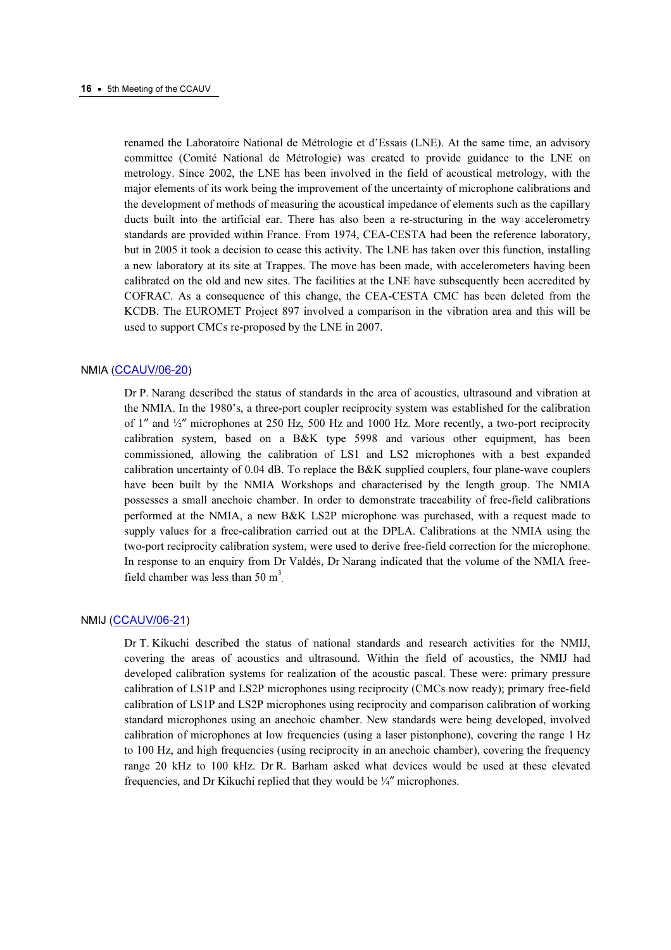renamed the Laboratoire National de Métrologie et d'Essais (LNE). At the same time, an advisory committee (Comité National de Métrologie) was created to provide guidance to the LNE on metrology. Since 2002, the LNE has been involved in the field of acoustical metrology, with the major elements of its work being the improvement of the uncertainty of microphone calibrations and the development of methods of measuring the acoustical impedance of elements such as the capillary ducts built into the artificial ear. There has also been a re-structuring in the way accelerometry standards are provided within France. From 1974, CEA-CESTA had been the reference laboratory, but in 2005 it took a decision to cease this activity. The LNE has taken over this function, installing a new laboratory at its site at Trappes. The move has been made, with accelerometers having been calibrated on the old and new sites. The facilities at the LNE have subsequently been accredited by COFRAC. As a consequence of this change, the CEA-CESTA CMC has been deleted from the KCDB. The EUROMET Project 897 involved a comparison in the vibration area and this will be used to support CMCs re-proposed by the LNE in 2007.

#### NMIA (CCAUV/06-20)

[Dr P. Narang described the sta](https://www.bipm.org/cc/CCAUV/Allowed/5/CCAUV06-20.pdf)tus of standards in the area of acoustics, ultrasound and vibration at the NMIA. In the 1980's, a three-port coupler reciprocity system was established for the calibration of 1″ and ½″ microphones at 250 Hz, 500 Hz and 1000 Hz. More recently, a two-port reciprocity calibration system, based on a B&K type 5998 and various other equipment, has been commissioned, allowing the calibration of LS1 and LS2 microphones with a best expanded calibration uncertainty of 0.04 dB. To replace the B&K supplied couplers, four plane-wave couplers have been built by the NMIA Workshops and characterised by the length group. The NMIA possesses a small anechoic chamber. In order to demonstrate traceability of free-field calibrations performed at the NMIA, a new B&K LS2P microphone was purchased, with a request made to supply values for a free-calibration carried out at the DPLA. Calibrations at the NMIA using the two-port reciprocity calibration system, were used to derive free-field correction for the microphone. In response to an enquiry from Dr Valdés, Dr Narang indicated that the volume of the NMIA freefield chamber was less than 50  $m^3$ .

#### NMIJ ([CCAUV/06-21](https://www.bipm.org/cc/CCAUV/Allowed/5/CCAUV06-21.pdf))

Dr T. Kikuchi described the status of national standards and research activities for the NMIJ, covering the areas of acoustics and ultrasound. Within the field of acoustics, the NMIJ had developed calibration systems for realization of the acoustic pascal. These were: primary pressure calibration of LS1P and LS2P microphones using reciprocity (CMCs now ready); primary free-field calibration of LS1P and LS2P microphones using reciprocity and comparison calibration of working standard microphones using an anechoic chamber. New standards were being developed, involved calibration of microphones at low frequencies (using a laser pistonphone), covering the range 1 Hz to 100 Hz, and high frequencies (using reciprocity in an anechoic chamber), covering the frequency range 20 kHz to 100 kHz. Dr R. Barham asked what devices would be used at these elevated frequencies, and Dr Kikuchi replied that they would be ¼″ microphones.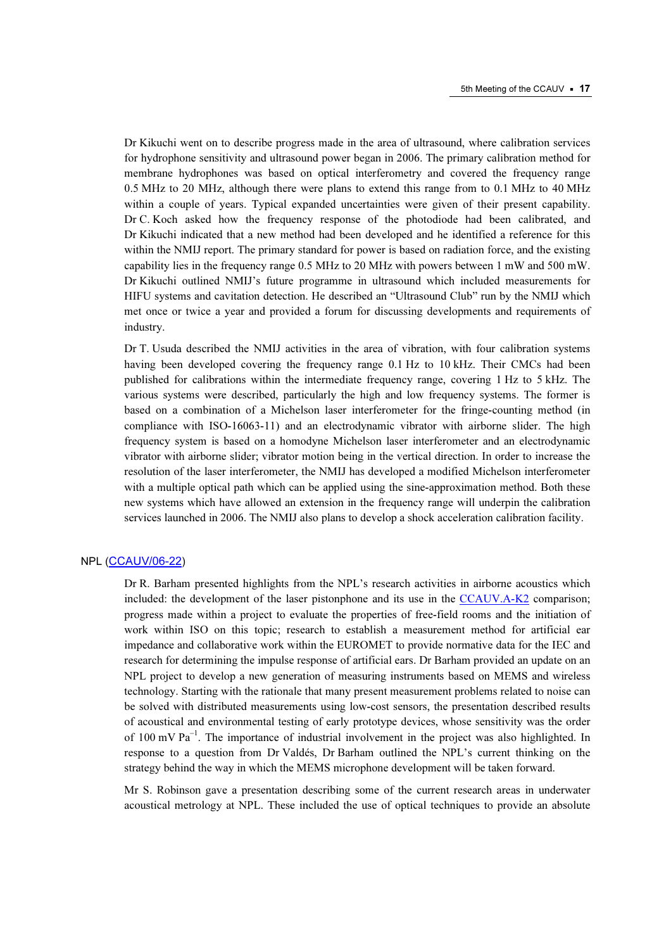Dr Kikuchi went on to describe progress made in the area of ultrasound, where calibration services for hydrophone sensitivity and ultrasound power began in 2006. The primary calibration method for membrane hydrophones was based on optical interferometry and covered the frequency range 0.5 MHz to 20 MHz, although there were plans to extend this range from to 0.1 MHz to 40 MHz within a couple of years. Typical expanded uncertainties were given of their present capability. Dr C. Koch asked how the frequency response of the photodiode had been calibrated, and Dr Kikuchi indicated that a new method had been developed and he identified a reference for this within the NMIJ report. The primary standard for power is based on radiation force, and the existing capability lies in the frequency range 0.5 MHz to 20 MHz with powers between 1 mW and 500 mW. Dr Kikuchi outlined NMIJ's future programme in ultrasound which included measurements for HIFU systems and cavitation detection. He described an "Ultrasound Club" run by the NMIJ which met once or twice a year and provided a forum for discussing developments and requirements of industry.

Dr T. Usuda described the NMIJ activities in the area of vibration, with four calibration systems having been developed covering the frequency range 0.1 Hz to 10 kHz. Their CMCs had been published for calibrations within the intermediate frequency range, covering 1 Hz to 5 kHz. The various systems were described, particularly the high and low frequency systems. The former is based on a combination of a Michelson laser interferometer for the fringe-counting method (in compliance with ISO-16063-11) and an electrodynamic vibrator with airborne slider. The high frequency system is based on a homodyne Michelson laser interferometer and an electrodynamic vibrator with airborne slider; vibrator motion being in the vertical direction. In order to increase the resolution of the laser interferometer, the NMIJ has developed a modified Michelson interferometer with a multiple optical path which can be applied using the sine-approximation method. Both these new systems which have allowed an extension in the frequency range will underpin the calibration services launched in 2006. The NMIJ also plans to develop a shock acceleration calibration facility.

# NPL ([CCAUV/06-22](https://www.bipm.org/cc/CCAUV/Allowed/5/CCAUV06-22.pdf))

Dr R. Barham presented highlights from the NPL's research activities in airborne acoustics which included: the development of the laser pistonphone and its use in [the CCAUV.A-K2 co](http://kcdb.bipm.org/appendixB/KCDB_ApB_info.asp?cmp_idy=421&cmp_cod=CCAUV.A-K2&prov=exalead)mparison; progress made within a project to evaluate the properties of free-field rooms and the initiation of work within ISO on this topic; research to establish a measurement method for artificial ear impedance and collaborative work within the EUROMET to provide normative data for the IEC and research for determining the impulse response of artificial ears. Dr Barham provided an update on an NPL project to develop a new generation of measuring instruments based on MEMS and wireless technology. Starting with the rationale that many present measurement problems related to noise can be solved with distributed measurements using low-cost sensors, the presentation described results of acoustical and environmental testing of early prototype devices, whose sensitivity was the order of 100 mV  $Pa^{-1}$ . The importance of industrial involvement in the project was also highlighted. In response to a question from Dr Valdés, Dr Barham outlined the NPL's current thinking on the strategy behind the way in which the MEMS microphone development will be taken forward.

Mr S. Robinson gave a presentation describing some of the current research areas in underwater acoustical metrology at NPL. These included the use of optical techniques to provide an absolute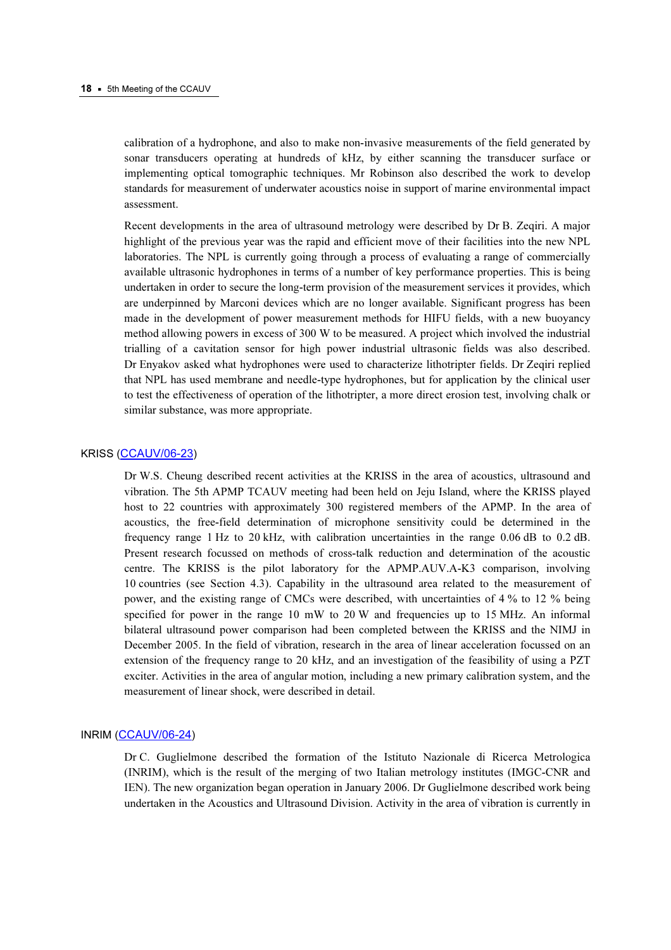calibration of a hydrophone, and also to make non-invasive measurements of the field generated by sonar transducers operating at hundreds of kHz, by either scanning the transducer surface or implementing optical tomographic techniques. Mr Robinson also described the work to develop standards for measurement of underwater acoustics noise in support of marine environmental impact assessment.

Recent developments in the area of ultrasound metrology were described by Dr B. Zeqiri. A major highlight of the previous year was the rapid and efficient move of their facilities into the new NPL laboratories. The NPL is currently going through a process of evaluating a range of commercially available ultrasonic hydrophones in terms of a number of key performance properties. This is being undertaken in order to secure the long-term provision of the measurement services it provides, which are underpinned by Marconi devices which are no longer available. Significant progress has been made in the development of power measurement methods for HIFU fields, with a new buoyancy method allowing powers in excess of 300 W to be measured. A project which involved the industrial trialling of a cavitation sensor for high power industrial ultrasonic fields was also described. Dr Enyakov asked what hydrophones were used to characterize lithotripter fields. Dr Zeqiri replied that NPL has used membrane and needle-type hydrophones, but for application by the clinical user to test the effectiveness of operation of the lithotripter, a more direct erosion test, involving chalk or similar substance, was more appropriate.

# KRISS (CCAUV/06-23)

[Dr W.S. Cheung describ](https://www.bipm.org/cc/CCAUV/Allowed/5/CCAUV06-23.pdf)ed recent activities at the KRISS in the area of acoustics, ultrasound and vibration. The 5th APMP TCAUV meeting had been held on Jeju Island, where the KRISS played host to 22 countries with approximately 300 registered members of the APMP. In the area of acoustics, the free-field determination of microphone sensitivity could be determined in the frequency range 1 Hz to 20 kHz, with calibration uncertainties in the range 0.06 dB to 0.2 dB. Present research focussed on methods of cross-talk reduction and determination of the acoustic centre. The KRISS is the pilot laboratory for the APMP.AUV.A-K3 comparison, involving 10 countries (see Section 4.3). Capability in the ultrasound area related to the measurement of power, and the existing range of CMCs were described, with uncertainties of 4 % to 12 % being specified for power in the range 10 mW to 20 W and frequencies up to 15 MHz. An informal bilateral ultrasound power comparison had been completed between the KRISS and the NIMJ in December 2005. In the field of vibration, research in the area of linear acceleration focussed on an extension of the frequency range to 20 kHz, and an investigation of the feasibility of using a PZT exciter. Activities in the area of angular motion, including a new primary calibration system, and the measurement of linear shock, were described in detail.

# INRIM ([CCAUV/06-24](https://www.bipm.org/cc/CCAUV/Allowed/5/CCAUV06-24.pdf))

Dr C. Guglielmone described the formation of the Istituto Nazionale di Ricerca Metrologica (INRIM), which is the result of the merging of two Italian metrology institutes (IMGC-CNR and IEN). The new organization began operation in January 2006. Dr Guglielmone described work being undertaken in the Acoustics and Ultrasound Division. Activity in the area of vibration is currently in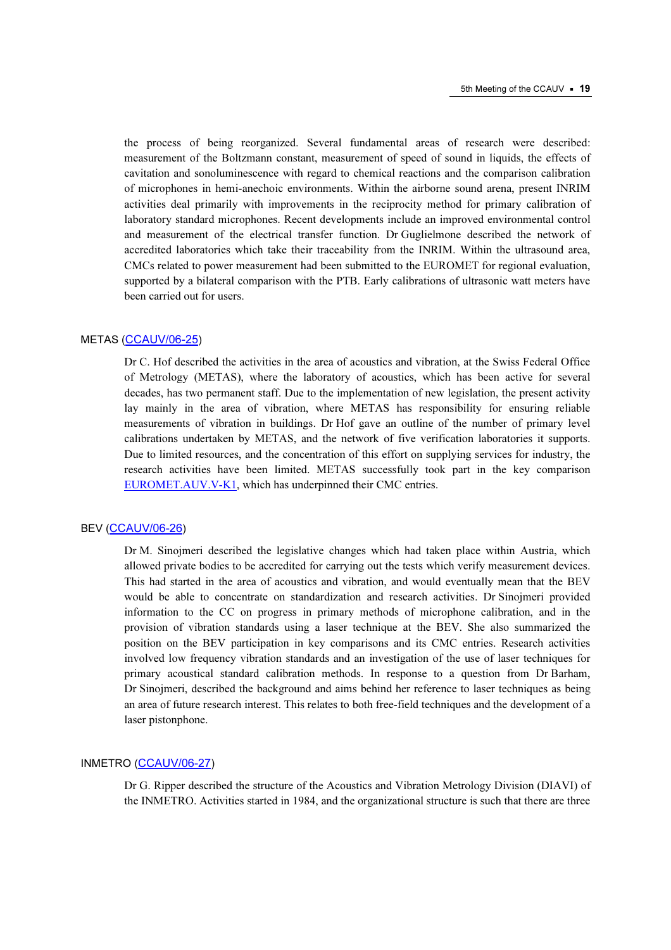the process of being reorganized. Several fundamental areas of research were described: measurement of the Boltzmann constant, measurement of speed of sound in liquids, the effects of cavitation and sonoluminescence with regard to chemical reactions and the comparison calibration of microphones in hemi-anechoic environments. Within the airborne sound arena, present INRIM activities deal primarily with improvements in the reciprocity method for primary calibration of laboratory standard microphones. Recent developments include an improved environmental control and measurement of the electrical transfer function. Dr Guglielmone described the network of accredited laboratories which take their traceability from the INRIM. Within the ultrasound area, CMCs related to power measurement had been submitted to the EUROMET for regional evaluation, supported by a bilateral comparison with the PTB. Early calibrations of ultrasonic watt meters have been carried out for users.

# METAS (CCAUV/06-25)

[Dr C. Hof described the a](https://www.bipm.org/cc/CCAUV/Allowed/5/CCAUV06-25.pdf)ctivities in the area of acoustics and vibration, at the Swiss Federal Office of Metrology (METAS), where the laboratory of acoustics, which has been active for several decades, has two permanent staff. Due to the implementation of new legislation, the present activity lay mainly in the area of vibration, where METAS has responsibility for ensuring reliable measurements of vibration in buildings. Dr Hof gave an outline of the number of primary level calibrations undertaken by METAS, and the network of five verification laboratories it supports. Due to limited resources, and the concentration of this effort on supplying services for industry, the research activities have been limited. METAS successfully took part in the key comparison [EUROMET.AUV.V-K1, w](http://kcdb.bipm.org/appendixB/KCDB_ApB_info.asp?cmp_idy=445&cmp_cod=EUROMET.AUV.V-K1&prov=exalead)hich has underpinned their CMC entries.

# BEV ([CCAUV/06-26](https://www.bipm.org/cc/CCAUV/Allowed/5/CCAUV06-26.pdf))

Dr M. Sinojmeri described the legislative changes which had taken place within Austria, which allowed private bodies to be accredited for carrying out the tests which verify measurement devices. This had started in the area of acoustics and vibration, and would eventually mean that the BEV would be able to concentrate on standardization and research activities. Dr Sinojmeri provided information to the CC on progress in primary methods of microphone calibration, and in the provision of vibration standards using a laser technique at the BEV. She also summarized the position on the BEV participation in key comparisons and its CMC entries. Research activities involved low frequency vibration standards and an investigation of the use of laser techniques for primary acoustical standard calibration methods. In response to a question from Dr Barham, Dr Sinojmeri, described the background and aims behind her reference to laser techniques as being an area of future research interest. This relates to both free-field techniques and the development of a laser pistonphone.

# INMETRO ([CCAUV/06-27](https://www.bipm.org/cc/CCAUV/Allowed/5/CCAUV06-27.pdf))

Dr G. Ripper described the structure of the Acoustics and Vibration Metrology Division (DIAVI) of the INMETRO. Activities started in 1984, and the organizational structure is such that there are three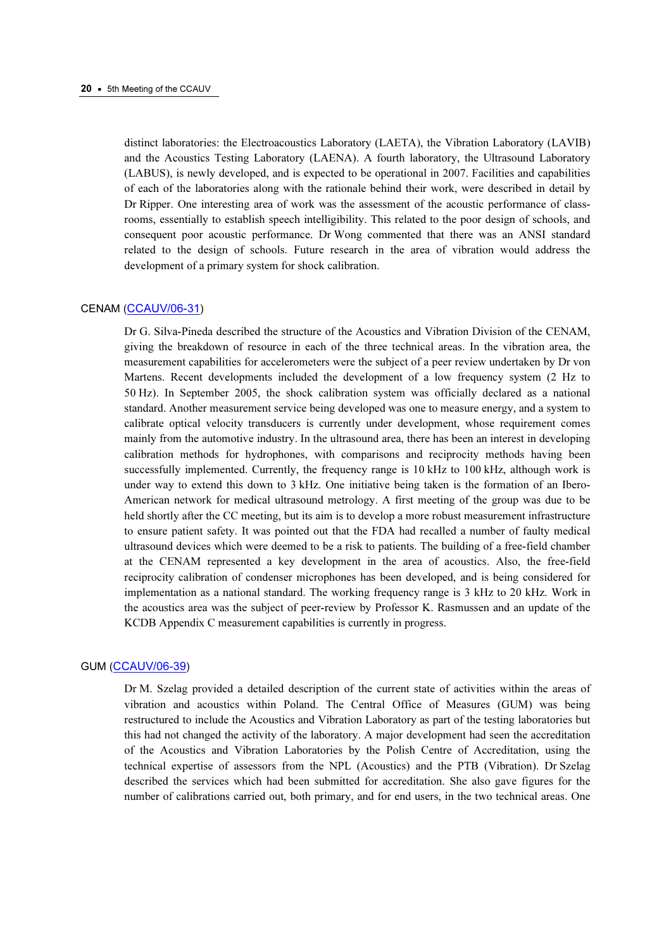distinct laboratories: the Electroacoustics Laboratory (LAETA), the Vibration Laboratory (LAVIB) and the Acoustics Testing Laboratory (LAENA). A fourth laboratory, the Ultrasound Laboratory (LABUS), is newly developed, and is expected to be operational in 2007. Facilities and capabilities of each of the laboratories along with the rationale behind their work, were described in detail by Dr Ripper. One interesting area of work was the assessment of the acoustic performance of classrooms, essentially to establish speech intelligibility. This related to the poor design of schools, and consequent poor acoustic performance. Dr Wong commented that there was an ANSI standard related to the design of schools. Future research in the area of vibration would address the development of a primary system for shock calibration.

# CENAM ([CCAUV/06-31](https://www.bipm.org/cc/CCAUV/Allowed/5/CCAUV06-31.pdf))

Dr G. Silva-Pineda described the structure of the Acoustics and Vibration Division of the CENAM, giving the breakdown of resource in each of the three technical areas. In the vibration area, the measurement capabilities for accelerometers were the subject of a peer review undertaken by Dr von Martens. Recent developments included the development of a low frequency system (2 Hz to 50 Hz). In September 2005, the shock calibration system was officially declared as a national standard. Another measurement service being developed was one to measure energy, and a system to calibrate optical velocity transducers is currently under development, whose requirement comes mainly from the automotive industry. In the ultrasound area, there has been an interest in developing calibration methods for hydrophones, with comparisons and reciprocity methods having been successfully implemented. Currently, the frequency range is  $10 \text{ kHz}$  to  $100 \text{ kHz}$ , although work is under way to extend this down to 3 kHz. One initiative being taken is the formation of an Ibero-American network for medical ultrasound metrology. A first meeting of the group was due to be held shortly after the CC meeting, but its aim is to develop a more robust measurement infrastructure to ensure patient safety. It was pointed out that the FDA had recalled a number of faulty medical ultrasound devices which were deemed to be a risk to patients. The building of a free-field chamber at the CENAM represented a key development in the area of acoustics. Also, the free-field reciprocity calibration of condenser microphones has been developed, and is being considered for implementation as a national standard. The working frequency range is 3 kHz to 20 kHz. Work in the acoustics area was the subject of peer-review by Professor K. Rasmussen and an update of the KCDB Appendix C measurement capabilities is currently in progress.

#### GUM (CCAUV/06-39)

[Dr M. Szelag provid](https://www.bipm.org/cc/CCAUV/Allowed/5/CCAUV06-39.pdf)ed a detailed description of the current state of activities within the areas of vibration and acoustics within Poland. The Central Office of Measures (GUM) was being restructured to include the Acoustics and Vibration Laboratory as part of the testing laboratories but this had not changed the activity of the laboratory. A major development had seen the accreditation of the Acoustics and Vibration Laboratories by the Polish Centre of Accreditation, using the technical expertise of assessors from the NPL (Acoustics) and the PTB (Vibration). Dr Szelag described the services which had been submitted for accreditation. She also gave figures for the number of calibrations carried out, both primary, and for end users, in the two technical areas. One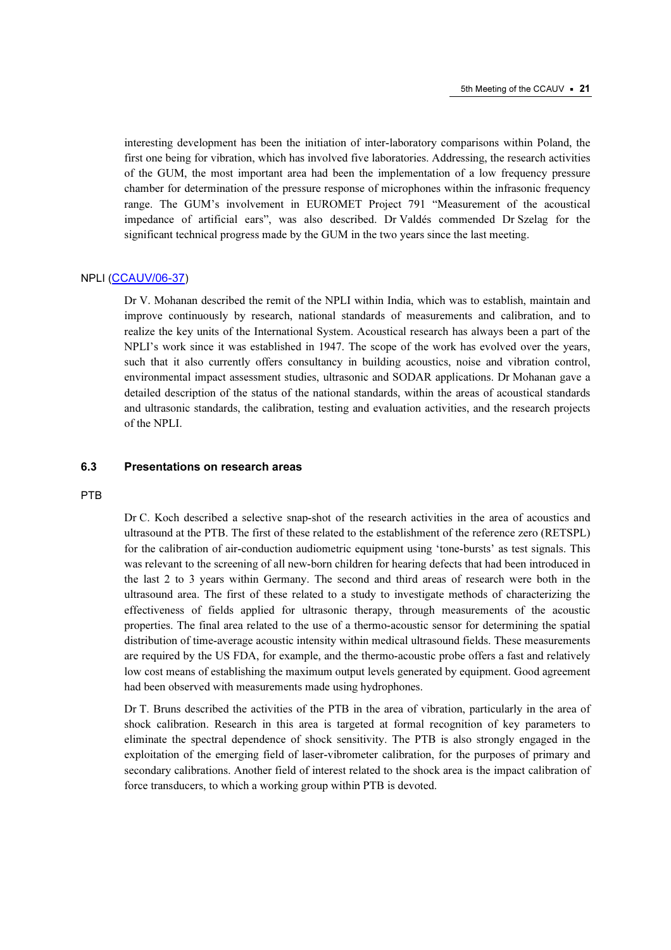interesting development has been the initiation of inter-laboratory comparisons within Poland, the first one being for vibration, which has involved five laboratories. Addressing, the research activities of the GUM, the most important area had been the implementation of a low frequency pressure chamber for determination of the pressure response of microphones within the infrasonic frequency range. The GUM's involvement in EUROMET Project 791 "Measurement of the acoustical impedance of artificial ears", was also described. Dr Valdés commended Dr Szelag for the significant technical progress made by the GUM in the two years since the last meeting.

#### NPLI ([CCAUV/06-37](https://www.bipm.org/cc/CCAUV/Allowed/5/CCAUV06-37.pdf))

Dr V. Mohanan described the remit of the NPLI within India, which was to establish, maintain and improve continuously by research, national standards of measurements and calibration, and to realize the key units of the International System. Acoustical research has always been a part of the NPLI's work since it was established in 1947. The scope of the work has evolved over the years, such that it also currently offers consultancy in building acoustics, noise and vibration control, environmental impact assessment studies, ultrasonic and SODAR applications. Dr Mohanan gave a detailed description of the status of the national standards, within the areas of acoustical standards and ultrasonic standards, the calibration, testing and evaluation activities, and the research projects of the NPLI.

# 6.3 Presentations on research areas

#### PTB

Dr C. Koch described a selective snap-shot of the research activities in the area of acoustics and ultrasound at the PTB. The first of these related to the establishment of the reference zero (RETSPL) for the calibration of air-conduction audiometric equipment using 'tone-bursts' as test signals. This was relevant to the screening of all new-born children for hearing defects that had been introduced in the last 2 to 3 years within Germany. The second and third areas of research were both in the ultrasound area. The first of these related to a study to investigate methods of characterizing the effectiveness of fields applied for ultrasonic therapy, through measurements of the acoustic properties. The final area related to the use of a thermo-acoustic sensor for determining the spatial distribution of time-average acoustic intensity within medical ultrasound fields. These measurements are required by the US FDA, for example, and the thermo-acoustic probe offers a fast and relatively low cost means of establishing the maximum output levels generated by equipment. Good agreement had been observed with measurements made using hydrophones.

Dr T. Bruns described the activities of the PTB in the area of vibration, particularly in the area of shock calibration. Research in this area is targeted at formal recognition of key parameters to eliminate the spectral dependence of shock sensitivity. The PTB is also strongly engaged in the exploitation of the emerging field of laser-vibrometer calibration, for the purposes of primary and secondary calibrations. Another field of interest related to the shock area is the impact calibration of force transducers, to which a working group within PTB is devoted.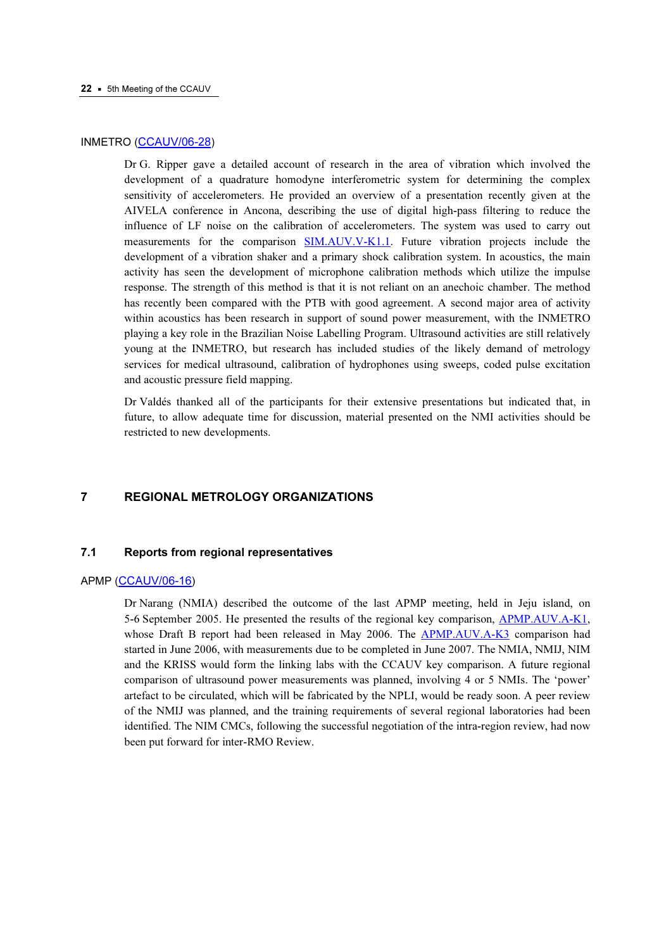# INMETRO (CCAUV/06-28)

[Dr G. Ripper gave a de](https://www.bipm.org/cc/CCAUV/Allowed/5/CCAUV06-28.pdf)tailed account of research in the area of vibration which involved the development of a quadrature homodyne interferometric system for determining the complex sensitivity of accelerometers. He provided an overview of a presentation recently given at the AIVELA conference in Ancona, describing the use of digital high-pass filtering to reduce the influence of LF noise on the calibration of accelerometers. The system was used to carry out measurements for the compar[ison SIM.AUV.V-K1.1. Fu](http://kcdb.bipm.org/appendixB/KCDB_ApB_info.asp?cmp_idy=743&cmp_cod=SIM.AUV.V-K1.1&prov=exalead)ture vibration projects include the development of a vibration shaker and a primary shock calibration system. In acoustics, the main activity has seen the development of microphone calibration methods which utilize the impulse response. The strength of this method is that it is not reliant on an anechoic chamber. The method has recently been compared with the PTB with good agreement. A second major area of activity within acoustics has been research in support of sound power measurement, with the INMETRO playing a key role in the Brazilian Noise Labelling Program. Ultrasound activities are still relatively young at the INMETRO, but research has included studies of the likely demand of metrology services for medical ultrasound, calibration of hydrophones using sweeps, coded pulse excitation and acoustic pressure field mapping.

Dr Valdés thanked all of the participants for their extensive presentations but indicated that, in future, to allow adequate time for discussion, material presented on the NMI activities should be restricted to new developments.

# 7 REGIONAL METROLOGY ORGANIZATIONS

# 7.1 Reports from regional representatives

### APMP ([CCAUV/06-16](https://www.bipm.org/cc/CCAUV/Allowed/5/CCAUV06-16.pdf))

Dr Narang (NMIA) described the outcome of the last APMP meeting, held in Jeju island, on 5-6 September 2005. He presented the results of the regional key comparis[on, APMP.AUV.A-K1,](http://kcdb.bipm.org/appendixB/KCDB_ApB_info.asp?cmp_idy=431&cmp_cod=APMP.AUV.A-K1&prov=exalead)  whose Draft B report had been released in May 2006. T[he APMP.AUV.A-K3](http://kcdb.bipm.org/appendixB/KCDB_ApB_info.asp?cmp_idy=775&cmp_cod=APMP.AUV.A-K3&prov=exalead) comparison had started in June 2006, with measurements due to be completed in June 2007. The NMIA, NMIJ, NIM and the KRISS would form the linking labs with the CCAUV key comparison. A future regional comparison of ultrasound power measurements was planned, involving 4 or 5 NMIs. The 'power' artefact to be circulated, which will be fabricated by the NPLI, would be ready soon. A peer review of the NMIJ was planned, and the training requirements of several regional laboratories had been identified. The NIM CMCs, following the successful negotiation of the intra-region review, had now been put forward for inter-RMO Review.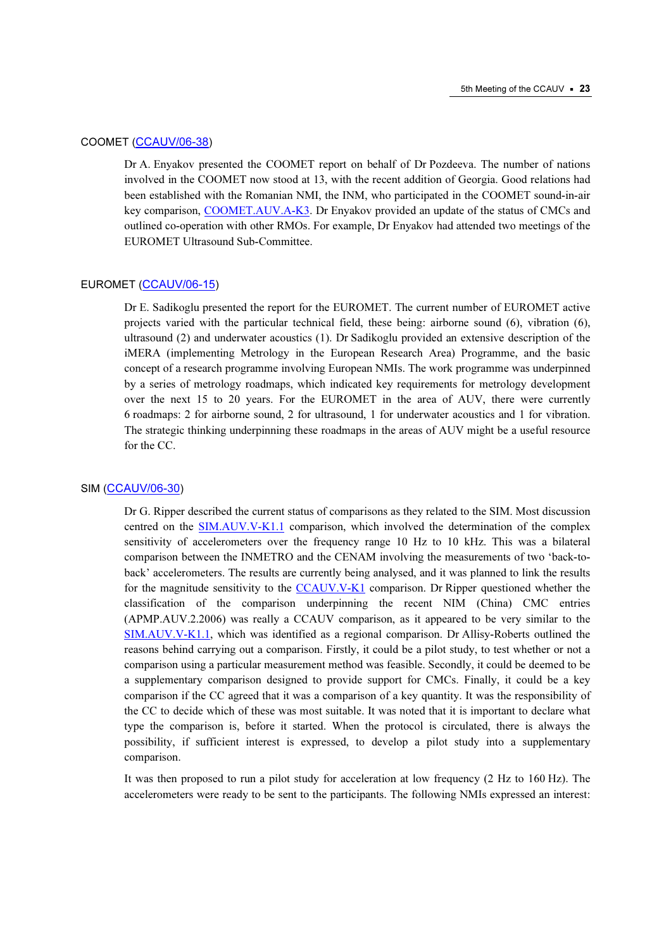# COOMET ([CCAUV/06-38](https://www.bipm.org/cc/CCAUV/Allowed/5/CCAUV06-38.pdf))

Dr A. Enyakov presented the COOMET report on behalf of Dr Pozdeeva. The number of nations involved in the COOMET now stood at 13, with the recent addition of Georgia. Good relations had been established with the Romanian NMI, the INM, who participated in the COOMET sound-in-air key comparis[on, COOMET.AUV.A-K3. Dr En](http://kcdb.bipm.org/appendixB/KCDB_ApB_info.asp?cmp_idy=713&cmp_cod=COOMET.AUV.A-K3&prov=exalead)yakov provided an update of the status of CMCs and outlined co-operation with other RMOs. For example, Dr Enyakov had attended two meetings of the EUROMET Ultrasound Sub-Committee.

# EUROMET (CCAUV/06-15)

[Dr E. Sadikoglu presen](https://www.bipm.org/cc/CCAUV/Allowed/5/CCAUV06-15.pdf)ted the report for the EUROMET. The current number of EUROMET active projects varied with the particular technical field, these being: airborne sound (6), vibration (6), ultrasound (2) and underwater acoustics (1). Dr Sadikoglu provided an extensive description of the iMERA (implementing Metrology in the European Research Area) Programme, and the basic concept of a research programme involving European NMIs. The work programme was underpinned by a series of metrology roadmaps, which indicated key requirements for metrology development over the next 15 to 20 years. For the EUROMET in the area of AUV, there were currently 6 roadmaps: 2 for airborne sound, 2 for ultrasound, 1 for underwater acoustics and 1 for vibration. The strategic thinking underpinning these roadmaps in the areas of AUV might be a useful resource for the CC.

#### SIM ([CCAUV/06-30](https://www.bipm.org/cc/CCAUV/Allowed/5/CCAUV06-30.pdf))

Dr G. Ripper described the current status of comparisons as they related to the SIM. Most discussion centred on t[he SIM.AUV.V-K1.1 com](http://kcdb.bipm.org/appendixB/KCDB_ApB_info.asp?cmp_idy=743&cmp_cod=SIM.AUV.V-K1.1&prov=exalead)parison, which involved the determination of the complex sensitivity of accelerometers over the frequency range 10 Hz to 10 kHz. This was a bilateral comparison between the INMETRO and the CENAM involving the measurements of two 'back-toback' accelerometers. The results are currently being analysed, and it was planned to link the results for the magnitude sensitivity to [the CCAUV.V-K1 comp](http://kcdb.bipm.org/appendixB/KCDB_ApB_info.asp?cmp_idy=429&cmp_cod=CCAUV.V-K1&prov=exalead)arison. Dr Ripper questioned whether the classification of the comparison underpinning the recent NIM (China) CMC entries (APMP.AUV.2.2006) was really a CCAUV comparison, as it appeared to be very similar to the [SIM.AUV.V-K1.1, wh](http://kcdb.bipm.org/appendixB/KCDB_ApB_info.asp?cmp_idy=743&cmp_cod=SIM.AUV.V-K1.1&prov=exalead)ich was identified as a regional comparison. Dr Allisy-Roberts outlined the reasons behind carrying out a comparison. Firstly, it could be a pilot study, to test whether or not a comparison using a particular measurement method was feasible. Secondly, it could be deemed to be a supplementary comparison designed to provide support for CMCs. Finally, it could be a key comparison if the CC agreed that it was a comparison of a key quantity. It was the responsibility of the CC to decide which of these was most suitable. It was noted that it is important to declare what type the comparison is, before it started. When the protocol is circulated, there is always the possibility, if sufficient interest is expressed, to develop a pilot study into a supplementary comparison.

It was then proposed to run a pilot study for acceleration at low frequency (2 Hz to 160 Hz). The accelerometers were ready to be sent to the participants. The following NMIs expressed an interest: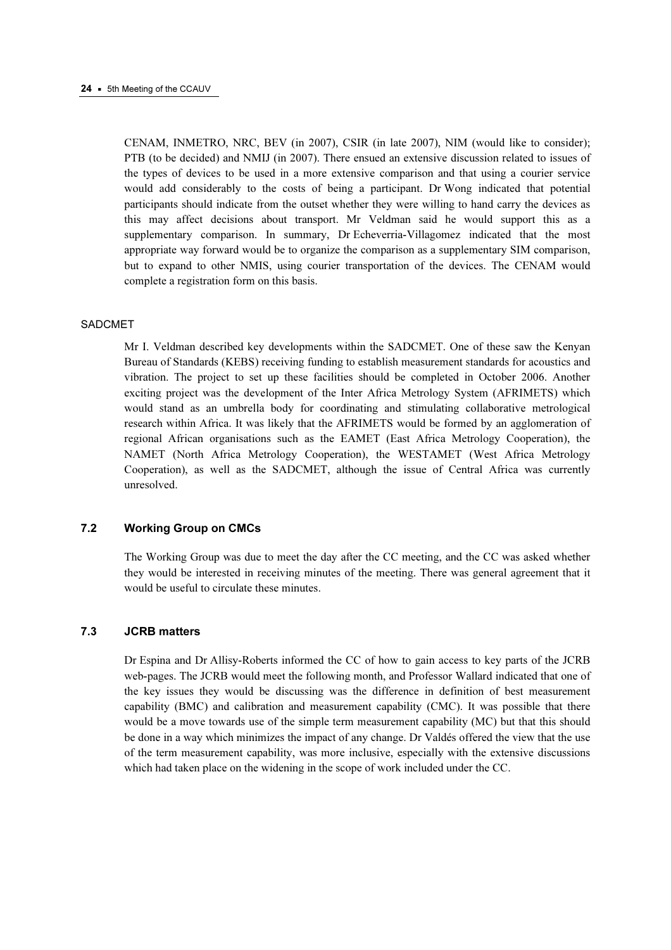CENAM, INMETRO, NRC, BEV (in 2007), CSIR (in late 2007), NIM (would like to consider); PTB (to be decided) and NMIJ (in 2007). There ensued an extensive discussion related to issues of the types of devices to be used in a more extensive comparison and that using a courier service would add considerably to the costs of being a participant. Dr Wong indicated that potential participants should indicate from the outset whether they were willing to hand carry the devices as this may affect decisions about transport. Mr Veldman said he would support this as a supplementary comparison. In summary, Dr Echeverria-Villagomez indicated that the most appropriate way forward would be to organize the comparison as a supplementary SIM comparison, but to expand to other NMIS, using courier transportation of the devices. The CENAM would complete a registration form on this basis.

# SADCMET

Mr I. Veldman described key developments within the SADCMET. One of these saw the Kenyan Bureau of Standards (KEBS) receiving funding to establish measurement standards for acoustics and vibration. The project to set up these facilities should be completed in October 2006. Another exciting project was the development of the Inter Africa Metrology System (AFRIMETS) which would stand as an umbrella body for coordinating and stimulating collaborative metrological research within Africa. It was likely that the AFRIMETS would be formed by an agglomeration of regional African organisations such as the EAMET (East Africa Metrology Cooperation), the NAMET (North Africa Metrology Cooperation), the WESTAMET (West Africa Metrology Cooperation), as well as the SADCMET, although the issue of Central Africa was currently unresolved.

# 7.2 Working Group on CMCs

The Working Group was due to meet the day after the CC meeting, and the CC was asked whether they would be interested in receiving minutes of the meeting. There was general agreement that it would be useful to circulate these minutes.

# 7.3 JCRB matters

Dr Espina and Dr Allisy-Roberts informed the CC of how to gain access to key parts of the JCRB web-pages. The JCRB would meet the following month, and Professor Wallard indicated that one of the key issues they would be discussing was the difference in definition of best measurement capability (BMC) and calibration and measurement capability (CMC). It was possible that there would be a move towards use of the simple term measurement capability (MC) but that this should be done in a way which minimizes the impact of any change. Dr Valdés offered the view that the use of the term measurement capability, was more inclusive, especially with the extensive discussions which had taken place on the widening in the scope of work included under the CC.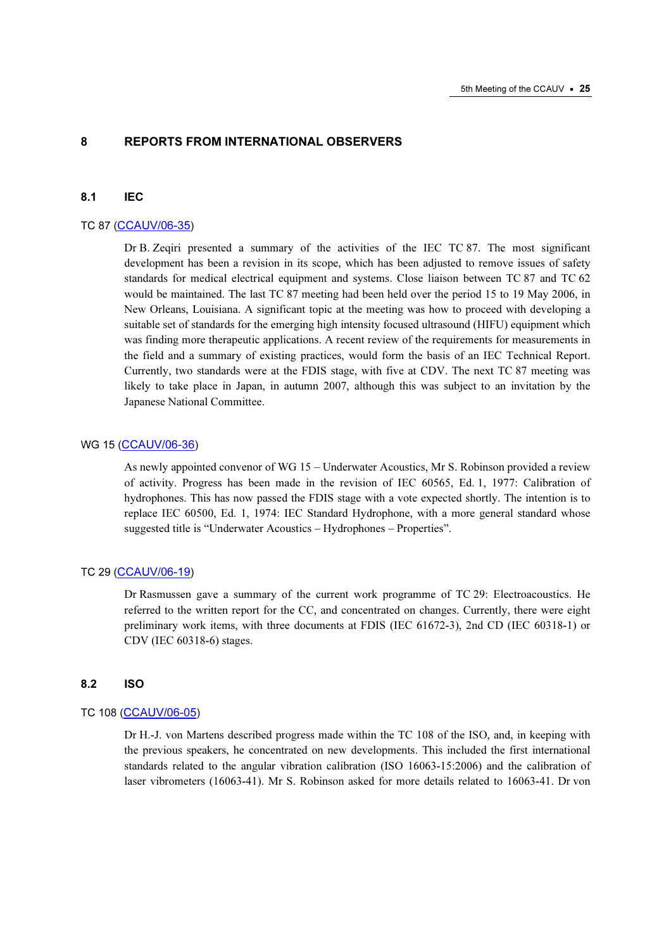# 8 REPORTS FROM INTERNATIONAL OBSERVERS

#### 8.1 IEC

#### TC 87 (CCAUV/06-35)

[Dr B. Zeqiri presente](https://www.bipm.org/cc/CCAUV/Allowed/5/CCAUV06-35.pdf)d a summary of the activities of the IEC TC 87. The most significant development has been a revision in its scope, which has been adjusted to remove issues of safety standards for medical electrical equipment and systems. Close liaison between TC 87 and TC 62 would be maintained. The last TC 87 meeting had been held over the period 15 to 19 May 2006, in New Orleans, Louisiana. A significant topic at the meeting was how to proceed with developing a suitable set of standards for the emerging high intensity focused ultrasound (HIFU) equipment which was finding more therapeutic applications. A recent review of the requirements for measurements in the field and a summary of existing practices, would form the basis of an IEC Technical Report. Currently, two standards were at the FDIS stage, with five at CDV. The next TC 87 meeting was likely to take place in Japan, in autumn 2007, although this was subject to an invitation by the Japanese National Committee.

# WG 15 (CCAUV/06-36)

[As newly appointed c](https://www.bipm.org/cc/CCAUV/Allowed/5/CCAUV06-36.pdf)onvenor of WG 15 – Underwater Acoustics, Mr S. Robinson provided a review of activity. Progress has been made in the revision of IEC 60565, Ed. 1, 1977: Calibration of hydrophones. This has now passed the FDIS stage with a vote expected shortly. The intention is to replace IEC 60500, Ed. 1, 1974: IEC Standard Hydrophone, with a more general standard whose suggested title is "Underwater Acoustics – Hydrophones – Properties".

# TC 29 (CCAUV/06-19)

[Dr Rasmussen gave](https://www.bipm.org/cc/CCAUV/Allowed/5/CCAUV06-19.pdf) a summary of the current work programme of TC 29: Electroacoustics. He referred to the written report for the CC, and concentrated on changes. Currently, there were eight preliminary work items, with three documents at FDIS (IEC 61672-3), 2nd CD (IEC 60318-1) or CDV (IEC 60318-6) stages.

#### 8.2 ISO

# TC 108 (CCAUV/06-05)

[Dr H.-J. von Martens](https://www.bipm.org/cc/CCAUV/Allowed/5/CCAUV06-05.pdf) described progress made within the TC 108 of the ISO, and, in keeping with the previous speakers, he concentrated on new developments. This included the first international standards related to the angular vibration calibration (ISO 16063-15:2006) and the calibration of laser vibrometers (16063-41). Mr S. Robinson asked for more details related to 16063-41. Dr von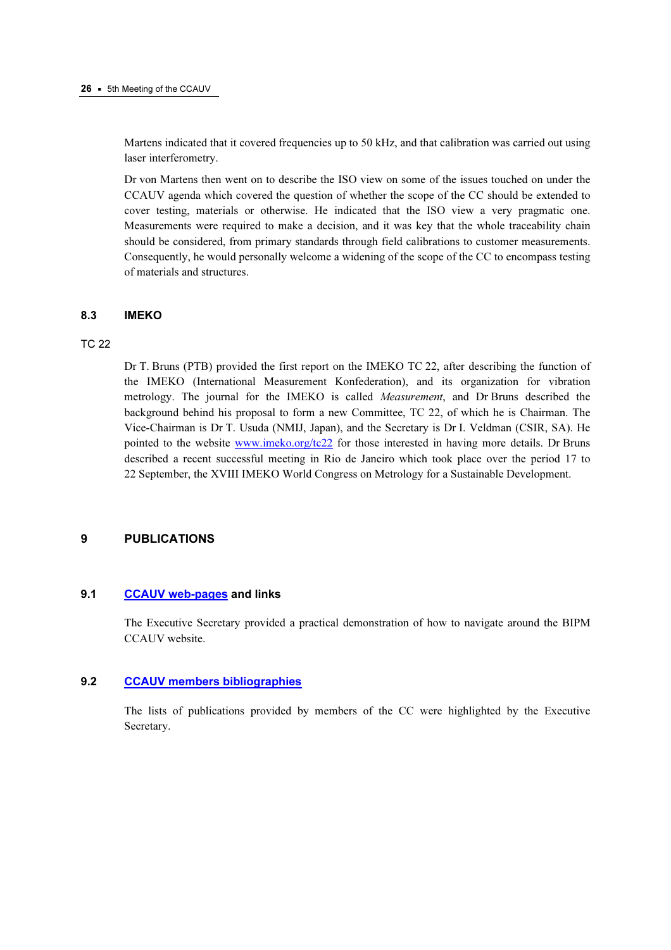Martens indicated that it covered frequencies up to 50 kHz, and that calibration was carried out using laser interferometry.

Dr von Martens then went on to describe the ISO view on some of the issues touched on under the CCAUV agenda which covered the question of whether the scope of the CC should be extended to cover testing, materials or otherwise. He indicated that the ISO view a very pragmatic one. Measurements were required to make a decision, and it was key that the whole traceability chain should be considered, from primary standards through field calibrations to customer measurements. Consequently, he would personally welcome a widening of the scope of the CC to encompass testing of materials and structures.

# 8.3 IMEKO

# TC 22

Dr T. Bruns (PTB) provided the first report on the IMEKO TC 22, after describing the function of the IMEKO (International Measurement Konfederation), and its organization for vibration metrology. The journal for the IMEKO is called Measurement, and Dr Bruns described the background behind his proposal to form a new Committee, TC 22, of which he is Chairman. The Vice-Chairman is Dr T. Usuda (NMIJ, Japan), and the Secretary is Dr I. Veldman (CSIR, SA). He pointed to the w[ebsite www.imeko.org/tc22 for](http://www.imeko.org/tc22/) those interested in having more details. Dr Bruns described a recent successful meeting in Rio de Janeiro which took place over the period 17 to 22 September, the XVIII IMEKO World Congress on Metrology for a Sustainable Development.

# 9 PUBLICATIONS

# 9.1 [CCAUV web-pages an](https://www.bipm.org/en/committees/cc/ccauv/)d links

The Executive Secretary provided a practical demonstration of how to navigate around the BIPM CCAUV website.

# 9.2 [CCAUV members bibliographies](https://www.bipm.org/en/committees/cc/ccauv/publications_cc.html)

The lists of publications provided by members of the CC were highlighted by the Executive Secretary.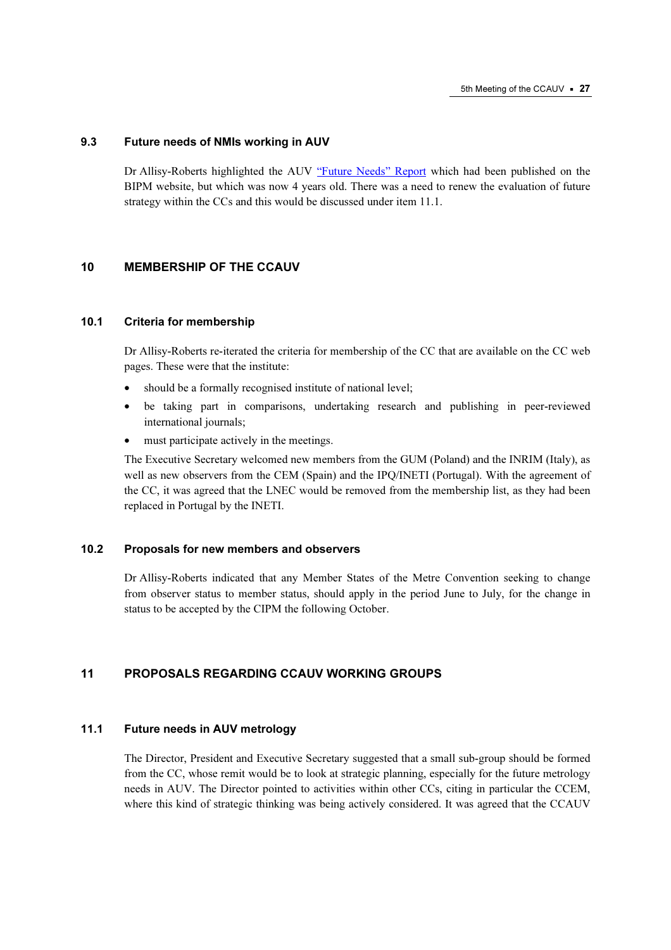# 9.3 Future needs of NMIs working in AUV

Dr Allisy-Roberts highlighted the A[UV "Future Needs" Report whi](https://www.bipm.org/utils/en/pdf/future_needs_AUV.pdf)ch had been published on the BIPM website, but which was now 4 years old. There was a need to renew the evaluation of future strategy within the CCs and this would be discussed under item 11.1.

# 10 MEMBERSHIP OF THE CCAUV

# 10.1 Criteria for membership

Dr Allisy-Roberts re-iterated the criteria for membership of the CC that are available on the CC web pages. These were that the institute:

- should be a formally recognised institute of national level;
- be taking part in comparisons, undertaking research and publishing in peer-reviewed international journals;
- must participate actively in the meetings.

The Executive Secretary welcomed new members from the GUM (Poland) and the INRIM (Italy), as well as new observers from the CEM (Spain) and the IPQ/INETI (Portugal). With the agreement of the CC, it was agreed that the LNEC would be removed from the membership list, as they had been replaced in Portugal by the INETI.

# 10.2 Proposals for new members and observers

Dr Allisy-Roberts indicated that any Member States of the Metre Convention seeking to change from observer status to member status, should apply in the period June to July, for the change in status to be accepted by the CIPM the following October.

# 11 PROPOSALS REGARDING CCAUV WORKING GROUPS

# 11.1 Future needs in AUV metrology

The Director, President and Executive Secretary suggested that a small sub-group should be formed from the CC, whose remit would be to look at strategic planning, especially for the future metrology needs in AUV. The Director pointed to activities within other CCs, citing in particular the CCEM, where this kind of strategic thinking was being actively considered. It was agreed that the CCAUV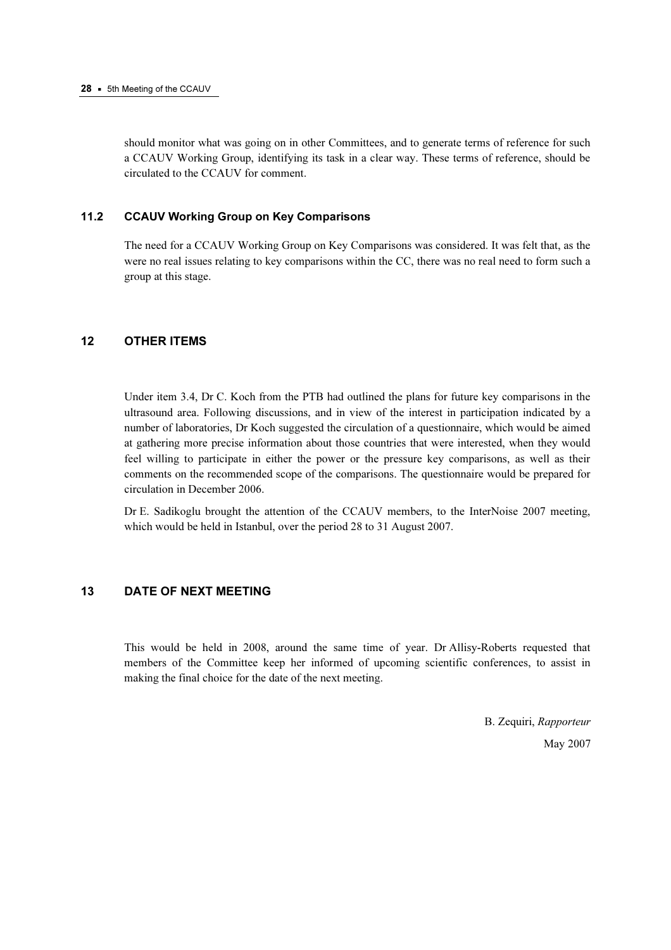should monitor what was going on in other Committees, and to generate terms of reference for such a CCAUV Working Group, identifying its task in a clear way. These terms of reference, should be circulated to the CCAUV for comment.

# 11.2 CCAUV Working Group on Key Comparisons

The need for a CCAUV Working Group on Key Comparisons was considered. It was felt that, as the were no real issues relating to key comparisons within the CC, there was no real need to form such a group at this stage.

# 12 OTHER ITEMS

Under item 3.4, Dr C. Koch from the PTB had outlined the plans for future key comparisons in the ultrasound area. Following discussions, and in view of the interest in participation indicated by a number of laboratories, Dr Koch suggested the circulation of a questionnaire, which would be aimed at gathering more precise information about those countries that were interested, when they would feel willing to participate in either the power or the pressure key comparisons, as well as their comments on the recommended scope of the comparisons. The questionnaire would be prepared for circulation in December 2006.

Dr E. Sadikoglu brought the attention of the CCAUV members, to the InterNoise 2007 meeting, which would be held in Istanbul, over the period 28 to 31 August 2007.

# 13 DATE OF NEXT MEETING

This would be held in 2008, around the same time of year. Dr Allisy-Roberts requested that members of the Committee keep her informed of upcoming scientific conferences, to assist in making the final choice for the date of the next meeting.

> B. Zequiri, Rapporteur May 2007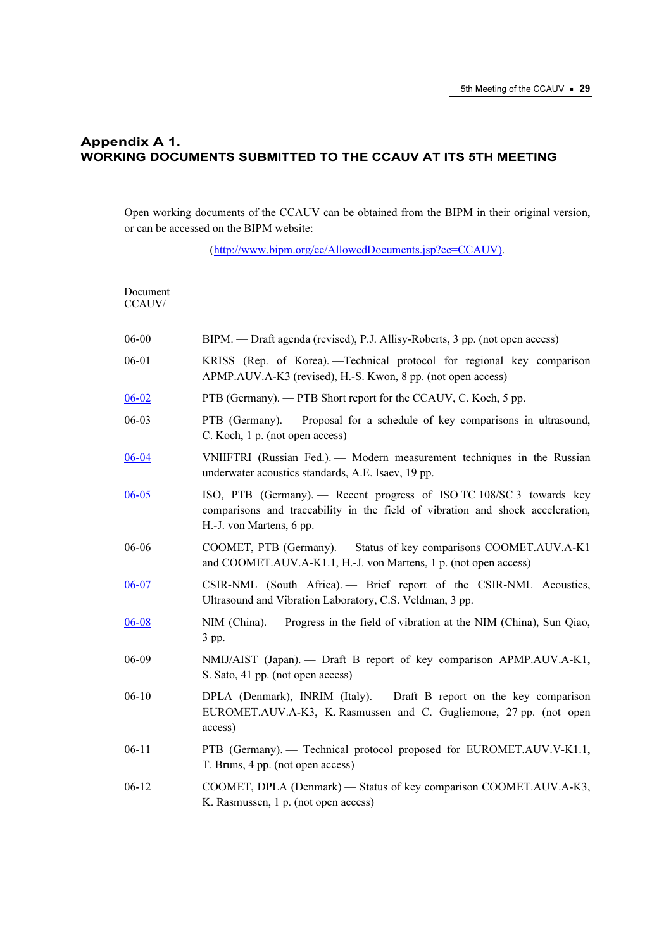# Appendix A 1. WORKING DOCUMENTS SUBMITTED TO THE CCAUV AT ITS 5TH MEETING

Open working documents of the CCAUV can be obtained from the BIPM in their original version, or can be accessed on the BIPM website:

[\(http://www.bipm.org/cc/AllowedDocuments.jsp?cc=CCAUV\).](https://www.bipm.org/cc/AllowedDocuments.jsp?cc=CCAUV) 

| Document<br>CCAUV/ |                                                                                                                                                                                    |
|--------------------|------------------------------------------------------------------------------------------------------------------------------------------------------------------------------------|
| 06-00              | BIPM. — Draft agenda (revised), P.J. Allisy-Roberts, 3 pp. (not open access)                                                                                                       |
| 06-01              | KRISS (Rep. of Korea). - Technical protocol for regional key comparison<br>APMP.AUV.A-K3 (revised), H.-S. Kwon, 8 pp. (not open access)                                            |
| $06 - 02$          | PTB (Germany). — PTB Short report for the CCAUV, C. Koch, 5 pp.                                                                                                                    |
| 06-03              | PTB (Germany). - Proposal for a schedule of key comparisons in ultrasound,<br>C. Koch, 1 p. (not open access)                                                                      |
| $06 - 04$          | VNIIFTRI (Russian Fed.). - Modern measurement techniques in the Russian<br>underwater acoustics standards, A.E. Isaev, 19 pp.                                                      |
| $06 - 05$          | ISO, PTB (Germany). - Recent progress of ISO TC 108/SC 3 towards key<br>comparisons and traceability in the field of vibration and shock acceleration,<br>H.-J. von Martens, 6 pp. |
| 06-06              | COOMET, PTB (Germany). - Status of key comparisons COOMET.AUV.A-K1<br>and COOMET.AUV.A-K1.1, H.-J. von Martens, 1 p. (not open access)                                             |
| $06 - 07$          | CSIR-NML (South Africa). - Brief report of the CSIR-NML Acoustics,<br>Ultrasound and Vibration Laboratory, C.S. Veldman, 3 pp.                                                     |
| $06 - 08$          | NIM (China). — Progress in the field of vibration at the NIM (China), Sun Qiao,<br>3 pp.                                                                                           |
| 06-09              | NMIJ/AIST (Japan). - Draft B report of key comparison APMP.AUV.A-K1,<br>S. Sato, 41 pp. (not open access)                                                                          |
| $06 - 10$          | DPLA (Denmark), INRIM (Italy). - Draft B report on the key comparison<br>EUROMET.AUV.A-K3, K. Rasmussen and C. Gugliemone, 27 pp. (not open<br>access)                             |
| $06 - 11$          | PTB (Germany). - Technical protocol proposed for EUROMET.AUV.V-K1.1,<br>T. Bruns, 4 pp. (not open access)                                                                          |
| $06 - 12$          | COOMET, DPLA (Denmark) — Status of key comparison COOMET.AUV.A-K3,<br>K. Rasmussen, 1 p. (not open access)                                                                         |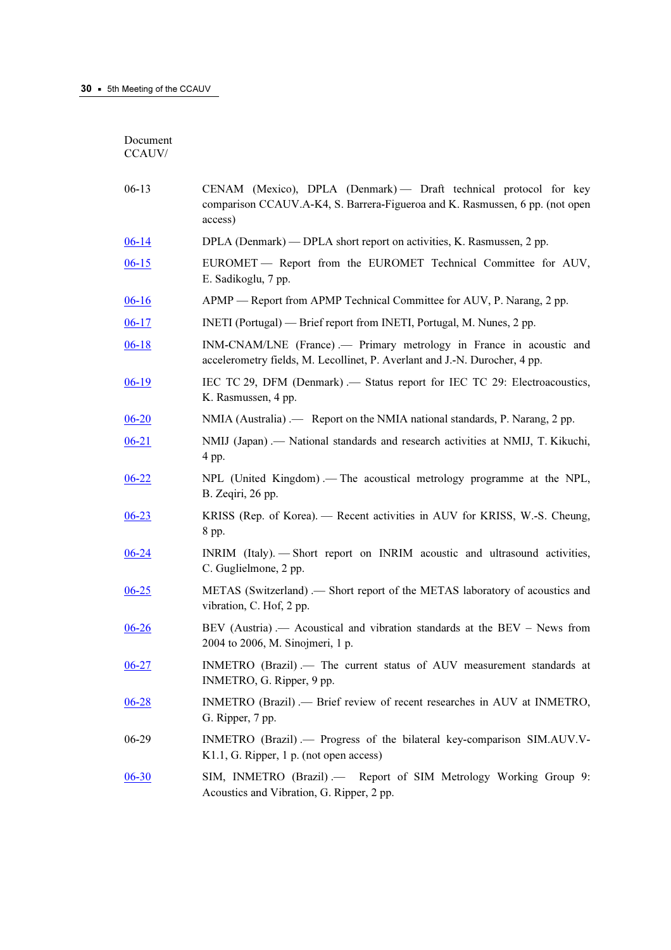Document  $CC{\rm AUV}$ 

| $06-13$   | CENAM (Mexico), DPLA (Denmark) - Draft technical protocol for key<br>comparison CCAUV.A-K4, S. Barrera-Figueroa and K. Rasmussen, 6 pp. (not open<br>access) |
|-----------|--------------------------------------------------------------------------------------------------------------------------------------------------------------|
| $06-14$   | DPLA (Denmark) — DPLA short report on activities, K. Rasmussen, 2 pp.                                                                                        |
| $06-15$   | EUROMET - Report from the EUROMET Technical Committee for AUV,<br>E. Sadikoglu, 7 pp.                                                                        |
| $06-16$   | APMP — Report from APMP Technical Committee for AUV, P. Narang, 2 pp.                                                                                        |
| $06-17$   | INETI (Portugal) — Brief report from INETI, Portugal, M. Nunes, 2 pp.                                                                                        |
| $06 - 18$ | INM-CNAM/LNE (France) .— Primary metrology in France in acoustic and<br>accelerometry fields, M. Lecollinet, P. Averlant and J.-N. Durocher, 4 pp.           |
| $06-19$   | IEC TC 29, DFM (Denmark) .— Status report for IEC TC 29: Electroacoustics,<br>K. Rasmussen, 4 pp.                                                            |
| $06 - 20$ | NMIA (Australia) .— Report on the NMIA national standards, P. Narang, 2 pp.                                                                                  |
| $06 - 21$ | NMIJ (Japan) .- National standards and research activities at NMIJ, T. Kikuchi,<br>4 pp.                                                                     |
| $06 - 22$ | NPL (United Kingdom).— The acoustical metrology programme at the NPL,<br>B. Zeqiri, 26 pp.                                                                   |
| $06 - 23$ | KRISS (Rep. of Korea). — Recent activities in AUV for KRISS, W.-S. Cheung,<br>8 pp.                                                                          |
| $06 - 24$ | INRIM (Italy). - Short report on INRIM acoustic and ultrasound activities,<br>C. Guglielmone, 2 pp.                                                          |
| $06 - 25$ | METAS (Switzerland) .— Short report of the METAS laboratory of acoustics and<br>vibration, C. Hof, 2 pp.                                                     |
| $06 - 26$ | BEV (Austria) .— Acoustical and vibration standards at the BEV – News from<br>2004 to 2006, M. Sinojmeri, 1 p.                                               |
| $06 - 27$ | INMETRO (Brazil) .— The current status of AUV measurement standards at<br>INMETRO, G. Ripper, 9 pp.                                                          |
| $06 - 28$ | INMETRO (Brazil) .- Brief review of recent researches in AUV at INMETRO,<br>G. Ripper, 7 pp.                                                                 |
| 06-29     | INMETRO (Brazil) .— Progress of the bilateral key-comparison SIM.AUV.V-<br>K1.1, G. Ripper, 1 p. (not open access)                                           |
| $06 - 30$ | SIM, INMETRO (Brazil) .- Report of SIM Metrology Working Group 9:<br>Acoustics and Vibration, G. Ripper, 2 pp.                                               |